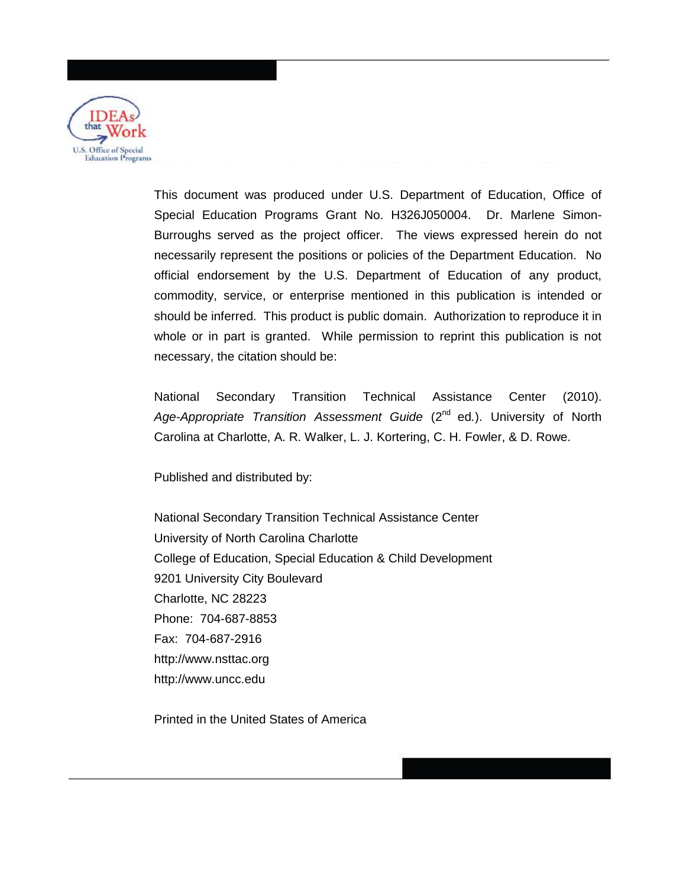

This document was produced under U.S. Department of Education, Office of Special Education Programs Grant No. H326J050004. Dr. Marlene Simon-Burroughs served as the project officer. The views expressed herein do not necessarily represent the positions or policies of the Department Education. No official endorsement by the U.S. Department of Education of any product, commodity, service, or enterprise mentioned in this publication is intended or should be inferred. This product is public domain. Authorization to reproduce it in whole or in part is granted. While permission to reprint this publication is not necessary, the citation should be:

National Secondary Transition Technical Assistance Center (2010). Age-Appropriate Transition Assessment Guide (2<sup>nd</sup> ed.). University of North Carolina at Charlotte, A. R. Walker, L. J. Kortering, C. H. Fowler, & D. Rowe.

Published and distributed by:

National Secondary Transition Technical Assistance Center University of North Carolina Charlotte College of Education, Special Education & Child Development 9201 University City Boulevard Charlotte, NC 28223 Phone: 704-687-8853 Fax: 704-687-2916 http://www.nsttac.org http://www.uncc.edu

Printed in the United States of America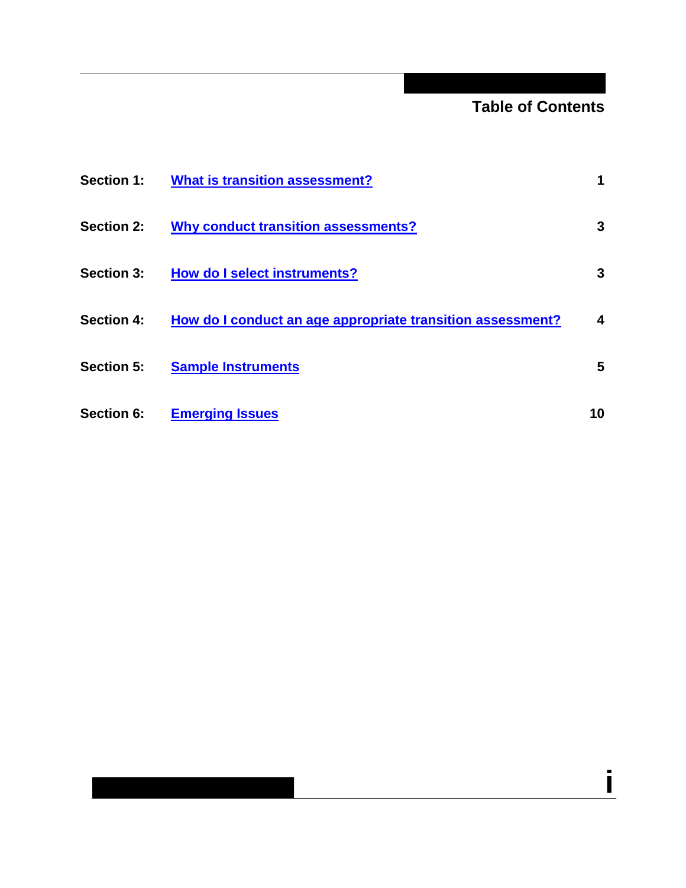### **Table of Contents**

**i**

| <b>Section 1:</b> | <b>What is transition assessment?</b>                      |    |
|-------------------|------------------------------------------------------------|----|
| <b>Section 2:</b> | <b>Why conduct transition assessments?</b>                 | 3  |
| <b>Section 3:</b> | <b>How do I select instruments?</b>                        | 3  |
| <b>Section 4:</b> | How do I conduct an age appropriate transition assessment? | 4  |
| <b>Section 5:</b> | <b>Sample Instruments</b>                                  | 5  |
| Section 6:        | <b>Emerging Issues</b>                                     | 10 |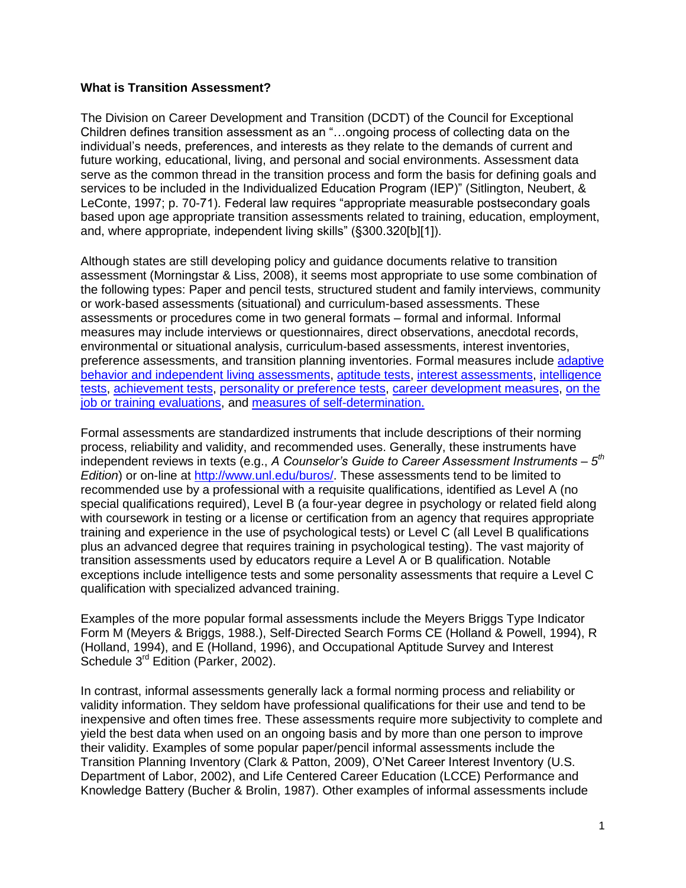#### <span id="page-2-0"></span>**What is Transition Assessment?**

The Division on Career Development and Transition (DCDT) of the Council for Exceptional Children defines transition assessment as an "…ongoing process of collecting data on the individual"s needs, preferences, and interests as they relate to the demands of current and future working, educational, living, and personal and social environments. Assessment data serve as the common thread in the transition process and form the basis for defining goals and services to be included in the Individualized Education Program (IEP)" (Sitlington, Neubert, & LeConte, 1997; p. 70-71). Federal law requires "appropriate measurable postsecondary goals based upon age appropriate transition assessments related to training, education, employment, and, where appropriate, independent living skills" (§300.320[b][1]).

Although states are still developing policy and guidance documents relative to transition assessment (Morningstar & Liss, 2008), it seems most appropriate to use some combination of the following types: Paper and pencil tests, structured student and family interviews, community or work-based assessments (situational) and curriculum-based assessments. These assessments or procedures come in two general formats – formal and informal. Informal measures may include interviews or questionnaires, direct observations, anecdotal records, environmental or situational analysis, curriculum-based assessments, interest inventories, preference assessments, and transition planning inventories. Formal measures include [adaptive](#page-8-0)  [behavior and independent living](#page-8-0) assessments, [aptitude tests,](#page-8-1) [interest assessments,](#page-9-0) [intelligence](#page-9-1)  [tests,](#page-9-1) [achievement tests,](#page-8-2) [personality or preference tests,](#page-10-0) [career development measures,](#page-10-1) [on the](#page-10-2)  [job or training evaluations,](#page-10-2) and [measures of self-determination.](#page-10-3)

Formal assessments are standardized instruments that include descriptions of their norming process, reliability and validity, and recommended uses. Generally, these instruments have independent reviews in texts (e.g., *A Counselor's Guide to Career Assessment Instruments – 5 th Edition*) or on-line at [http://www.unl.edu/buros/.](http://www.unl.edu/buros/) These assessments tend to be limited to recommended use by a professional with a requisite qualifications, identified as Level A (no special qualifications required), Level B (a four-year degree in psychology or related field along with coursework in testing or a license or certification from an agency that requires appropriate training and experience in the use of psychological tests) or Level C (all Level B qualifications plus an advanced degree that requires training in psychological testing). The vast majority of transition assessments used by educators require a Level A or B qualification. Notable exceptions include intelligence tests and some personality assessments that require a Level C qualification with specialized advanced training.

Examples of the more popular formal assessments include the Meyers Briggs Type Indicator Form M (Meyers & Briggs, 1988.), Self-Directed Search Forms CE (Holland & Powell, 1994), R (Holland, 1994), and E (Holland, 1996), and Occupational Aptitude Survey and Interest Schedule 3<sup>rd</sup> Edition (Parker, 2002).

In contrast, informal assessments generally lack a formal norming process and reliability or validity information. They seldom have professional qualifications for their use and tend to be inexpensive and often times free. These assessments require more subjectivity to complete and yield the best data when used on an ongoing basis and by more than one person to improve their validity. Examples of some popular paper/pencil informal assessments include the Transition Planning Inventory (Clark & Patton, 2009), O"Net Career Interest Inventory (U.S. Department of Labor, 2002), and Life Centered Career Education (LCCE) Performance and Knowledge Battery (Bucher & Brolin, 1987). Other examples of informal assessments include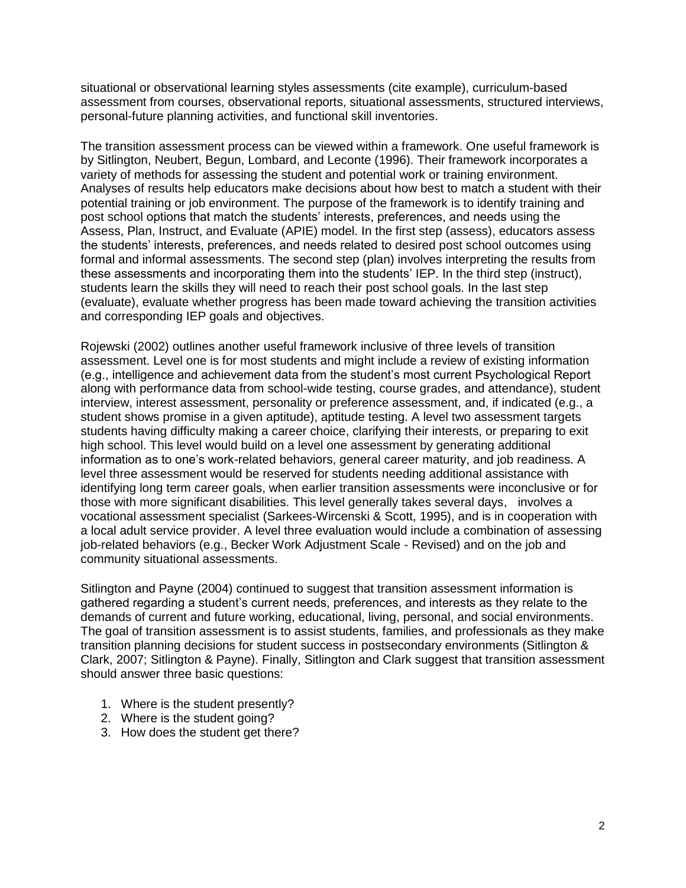situational or observational learning styles assessments (cite example), curriculum-based assessment from courses, observational reports, situational assessments, structured interviews, personal-future planning activities, and functional skill inventories.

The transition assessment process can be viewed within a framework. One useful framework is by Sitlington, Neubert, Begun, Lombard, and Leconte (1996). Their framework incorporates a variety of methods for assessing the student and potential work or training environment. Analyses of results help educators make decisions about how best to match a student with their potential training or job environment. The purpose of the framework is to identify training and post school options that match the students" interests, preferences, and needs using the Assess, Plan, Instruct, and Evaluate (APIE) model. In the first step (assess), educators assess the students" interests, preferences, and needs related to desired post school outcomes using formal and informal assessments. The second step (plan) involves interpreting the results from these assessments and incorporating them into the students' IEP. In the third step (instruct), students learn the skills they will need to reach their post school goals. In the last step (evaluate), evaluate whether progress has been made toward achieving the transition activities and corresponding IEP goals and objectives.

Rojewski (2002) outlines another useful framework inclusive of three levels of transition assessment. Level one is for most students and might include a review of existing information (e.g., intelligence and achievement data from the student"s most current Psychological Report along with performance data from school-wide testing, course grades, and attendance), student interview, interest assessment, personality or preference assessment, and, if indicated (e.g., a student shows promise in a given aptitude), aptitude testing. A level two assessment targets students having difficulty making a career choice, clarifying their interests, or preparing to exit high school. This level would build on a level one assessment by generating additional information as to one"s work-related behaviors, general career maturity, and job readiness. A level three assessment would be reserved for students needing additional assistance with identifying long term career goals, when earlier transition assessments were inconclusive or for those with more significant disabilities. This level generally takes several days, involves a vocational assessment specialist (Sarkees-Wircenski & Scott, 1995), and is in cooperation with a local adult service provider. A level three evaluation would include a combination of assessing job-related behaviors (e.g., Becker Work Adjustment Scale - Revised) and on the job and community situational assessments.

Sitlington and Payne (2004) continued to suggest that transition assessment information is gathered regarding a student"s current needs, preferences, and interests as they relate to the demands of current and future working, educational, living, personal, and social environments. The goal of transition assessment is to assist students, families, and professionals as they make transition planning decisions for student success in postsecondary environments (Sitlington & Clark, 2007; Sitlington & Payne). Finally, Sitlington and Clark suggest that transition assessment should answer three basic questions:

- 1. Where is the student presently?
- 2. Where is the student going?
- 3. How does the student get there?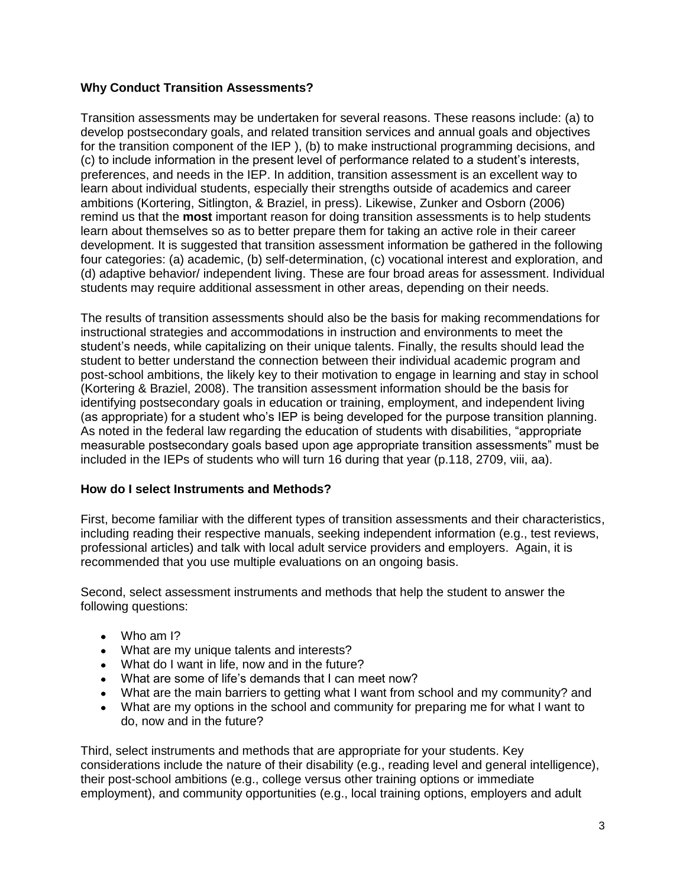### <span id="page-4-0"></span>**Why Conduct Transition Assessments?**

Transition assessments may be undertaken for several reasons. These reasons include: (a) to develop postsecondary goals, and related transition services and annual goals and objectives for the transition component of the IEP), (b) to make instructional programming decisions, and (c) to include information in the present level of performance related to a student"s interests, preferences, and needs in the IEP. In addition, transition assessment is an excellent way to learn about individual students, especially their strengths outside of academics and career ambitions (Kortering, Sitlington, & Braziel, in press). Likewise, Zunker and Osborn (2006) remind us that the **most** important reason for doing transition assessments is to help students learn about themselves so as to better prepare them for taking an active role in their career development. It is suggested that transition assessment information be gathered in the following four categories: (a) academic, (b) self-determination, (c) vocational interest and exploration, and (d) adaptive behavior/ independent living. These are four broad areas for assessment. Individual students may require additional assessment in other areas, depending on their needs.

The results of transition assessments should also be the basis for making recommendations for instructional strategies and accommodations in instruction and environments to meet the student"s needs, while capitalizing on their unique talents. Finally, the results should lead the student to better understand the connection between their individual academic program and post-school ambitions, the likely key to their motivation to engage in learning and stay in school (Kortering & Braziel, 2008). The transition assessment information should be the basis for identifying postsecondary goals in education or training, employment, and independent living (as appropriate) for a student who"s IEP is being developed for the purpose transition planning. As noted in the federal law regarding the education of students with disabilities, "appropriate measurable postsecondary goals based upon age appropriate transition assessments" must be included in the IEPs of students who will turn 16 during that year (p.118, 2709, viii, aa).

### <span id="page-4-1"></span>**How do I select Instruments and Methods?**

First, become familiar with the different types of transition assessments and their characteristics, including reading their respective manuals, seeking independent information (e.g., test reviews, professional articles) and talk with local adult service providers and employers. Again, it is recommended that you use multiple evaluations on an ongoing basis.

Second, select assessment instruments and methods that help the student to answer the following questions:

- Who am I?
- What are my unique talents and interests?
- What do I want in life, now and in the future?
- What are some of life"s demands that I can meet now?
- What are the main barriers to getting what I want from school and my community? and
- What are my options in the school and community for preparing me for what I want to do, now and in the future?

Third, select instruments and methods that are appropriate for your students. Key considerations include the nature of their disability (e.g., reading level and general intelligence), their post-school ambitions (e.g., college versus other training options or immediate employment), and community opportunities (e.g., local training options, employers and adult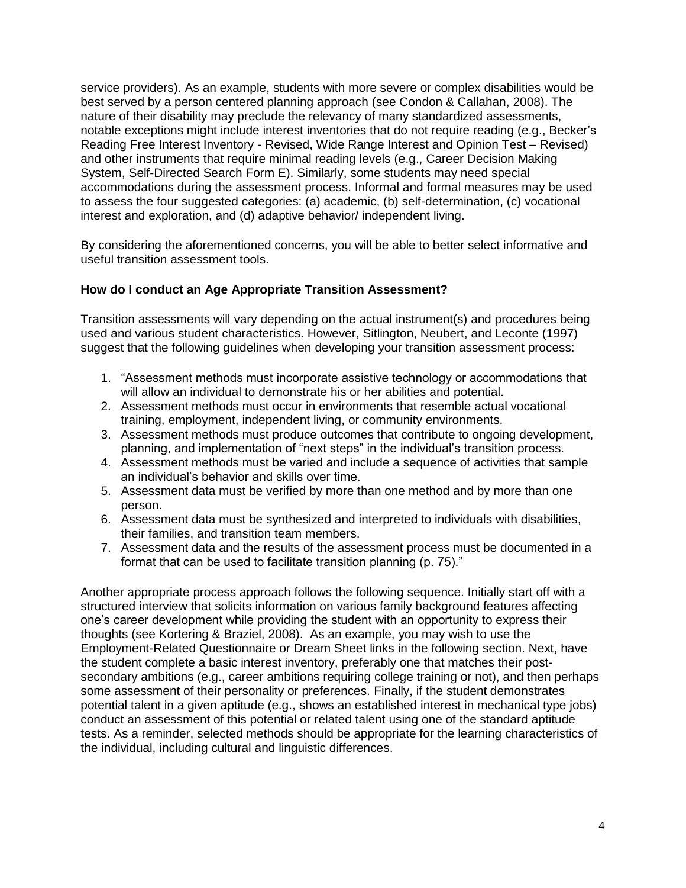service providers). As an example, students with more severe or complex disabilities would be best served by a person centered planning approach (see Condon & Callahan, 2008). The nature of their disability may preclude the relevancy of many standardized assessments, notable exceptions might include interest inventories that do not require reading (e.g., Becker"s Reading Free Interest Inventory - Revised, Wide Range Interest and Opinion Test – Revised) and other instruments that require minimal reading levels (e.g., Career Decision Making System, Self-Directed Search Form E). Similarly, some students may need special accommodations during the assessment process. Informal and formal measures may be used to assess the four suggested categories: (a) academic, (b) self-determination, (c) vocational interest and exploration, and (d) adaptive behavior/ independent living.

By considering the aforementioned concerns, you will be able to better select informative and useful transition assessment tools.

### <span id="page-5-0"></span>**How do I conduct an Age Appropriate Transition Assessment?**

Transition assessments will vary depending on the actual instrument(s) and procedures being used and various student characteristics. However, Sitlington, Neubert, and Leconte (1997) suggest that the following guidelines when developing your transition assessment process:

- 1. "Assessment methods must incorporate assistive technology or accommodations that will allow an individual to demonstrate his or her abilities and potential.
- 2. Assessment methods must occur in environments that resemble actual vocational training, employment, independent living, or community environments.
- 3. Assessment methods must produce outcomes that contribute to ongoing development, planning, and implementation of "next steps" in the individual"s transition process.
- 4. Assessment methods must be varied and include a sequence of activities that sample an individual"s behavior and skills over time.
- 5. Assessment data must be verified by more than one method and by more than one person.
- 6. Assessment data must be synthesized and interpreted to individuals with disabilities, their families, and transition team members.
- 7. Assessment data and the results of the assessment process must be documented in a format that can be used to facilitate transition planning (p. 75)."

<span id="page-5-1"></span>Another appropriate process approach follows the following sequence. Initially start off with a structured interview that solicits information on various family background features affecting one"s career development while providing the student with an opportunity to express their thoughts (see Kortering & Braziel, 2008). As an example, you may wish to use the Employment-Related Questionnaire or Dream Sheet links in the following section. Next, have the student complete a basic interest inventory, preferably one that matches their postsecondary ambitions (e.g., career ambitions requiring college training or not), and then perhaps some assessment of their personality or preferences. Finally, if the student demonstrates potential talent in a given aptitude (e.g., shows an established interest in mechanical type jobs) conduct an assessment of this potential or related talent using one of the standard aptitude tests. As a reminder, selected methods should be appropriate for the learning characteristics of the individual, including cultural and linguistic differences.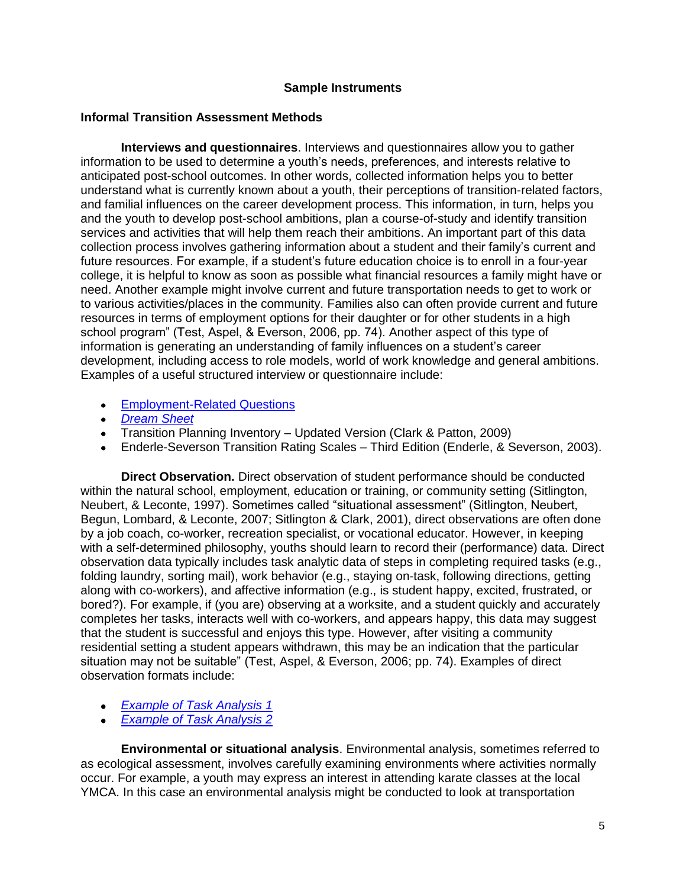### **Sample Instruments**

### **Informal Transition Assessment Methods**

**Interviews and questionnaires**. Interviews and questionnaires allow you to gather information to be used to determine a youth"s needs, preferences, and interests relative to anticipated post-school outcomes. In other words, collected information helps you to better understand what is currently known about a youth, their perceptions of transition-related factors, and familial influences on the career development process. This information, in turn, helps you and the youth to develop post-school ambitions, plan a course-of-study and identify transition services and activities that will help them reach their ambitions. An important part of this data collection process involves gathering information about a student and their family"s current and future resources. For example, if a student"s future education choice is to enroll in a four-year college, it is helpful to know as soon as possible what financial resources a family might have or need. Another example might involve current and future transportation needs to get to work or to various activities/places in the community. Families also can often provide current and future resources in terms of employment options for their daughter or for other students in a high school program" (Test, Aspel, & Everson, 2006, pp. 74). Another aspect of this type of information is generating an understanding of family influences on a student"s career development, including access to role models, world of work knowledge and general ambitions. Examples of a useful structured interview or questionnaire include:

- **Employment-Related Questions**
- *[Dream Sheet](http://www.nsttac.org/pdf/transition_guide/dreamsheet.pdf)*
- Transition Planning Inventory Updated Version (Clark & Patton, 2009)
- Enderle-Severson Transition Rating Scales Third Edition (Enderle, & Severson, 2003).

**Direct Observation.** Direct observation of student performance should be conducted within the natural school, employment, education or training, or community setting (Sitlington, Neubert, & Leconte, 1997). Sometimes called "situational assessment" (Sitlington, Neubert, Begun, Lombard, & Leconte, 2007; Sitlington & Clark, 2001), direct observations are often done by a job coach, co-worker, recreation specialist, or vocational educator. However, in keeping with a self-determined philosophy, youths should learn to record their (performance) data. Direct observation data typically includes task analytic data of steps in completing required tasks (e.g., folding laundry, sorting mail), work behavior (e.g., staying on-task, following directions, getting along with co-workers), and affective information (e.g., is student happy, excited, frustrated, or bored?). For example, if (you are) observing at a worksite, and a student quickly and accurately completes her tasks, interacts well with co-workers, and appears happy, this data may suggest that the student is successful and enjoys this type. However, after visiting a community residential setting a student appears withdrawn, this may be an indication that the particular situation may not be suitable" (Test, Aspel, & Everson, 2006; pp. 74). Examples of direct observation formats include:

- *[Example of Task Analysis 1](http://www.nsttac.org/pdf/transition_guide/TA_work_area_3_.pdf)*
- *[Example of Task Analysis 2](http://www.nsttac.org/pdf/transition_guide/TA%20Graph%20_3_.pdf)*

**Environmental or situational analysis**. Environmental analysis, sometimes referred to as ecological assessment, involves carefully examining environments where activities normally occur. For example, a youth may express an interest in attending karate classes at the local YMCA. In this case an environmental analysis might be conducted to look at transportation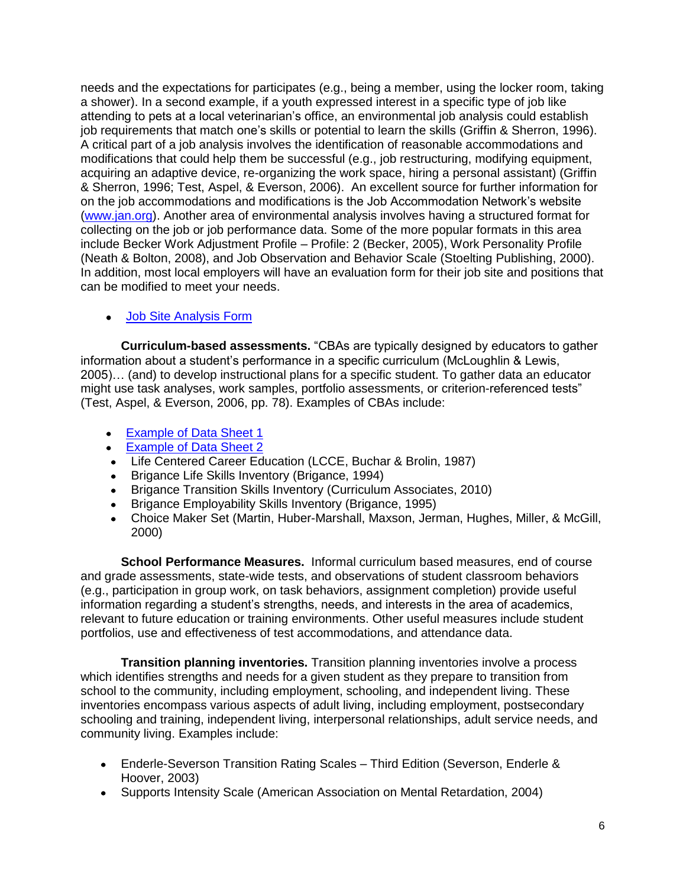needs and the expectations for participates (e.g., being a member, using the locker room, taking a shower). In a second example, if a youth expressed interest in a specific type of job like attending to pets at a local veterinarian"s office, an environmental job analysis could establish job requirements that match one"s skills or potential to learn the skills (Griffin & Sherron, 1996). A critical part of a job analysis involves the identification of reasonable accommodations and modifications that could help them be successful (e.g., job restructuring, modifying equipment, acquiring an adaptive device, re-organizing the work space, hiring a personal assistant) (Griffin & Sherron, 1996; Test, Aspel, & Everson, 2006). An excellent source for further information for on the job accommodations and modifications is the Job Accommodation Network"s website [\(www.jan.org\)](http://www.jan.org/). Another area of environmental analysis involves having a structured format for collecting on the job or job performance data. Some of the more popular formats in this area include Becker Work Adjustment Profile – Profile: 2 (Becker, 2005), Work Personality Profile (Neath & Bolton, 2008), and Job Observation and Behavior Scale (Stoelting Publishing, 2000). In addition, most local employers will have an evaluation form for their job site and positions that can be modified to meet your needs.

[Job Site Analysis Form](http://www.nsttac.org/products_and_resources/JobSiteAnalysis.pdf)

**Curriculum-based assessments.** "CBAs are typically designed by educators to gather information about a student"s performance in a specific curriculum (McLoughlin & Lewis, 2005)… (and) to develop instructional plans for a specific student. To gather data an educator might use task analyses, work samples, portfolio assessments, or criterion-referenced tests" (Test, Aspel, & Everson, 2006, pp. 78). Examples of CBAs include:

- [Example of Data Sheet 1](http://www.nsttac.org/pdf/transition_guide/Data%20sheet%20_2_.pdf)
- **[Example of Data Sheet 2](http://www.nsttac.org/pdf/transition_guide/Data%20Sheet%20LCC%20_2_.pdf)**
- Life Centered Career Education (LCCE, Buchar & Brolin, 1987)
- Brigance Life Skills Inventory (Brigance, 1994)
- Brigance Transition Skills Inventory (Curriculum Associates, 2010)  $\bullet$
- Brigance Employability Skills Inventory (Brigance, 1995)  $\bullet$
- Choice Maker Set (Martin, Huber-Marshall, Maxson, Jerman, Hughes, Miller, & McGill, 2000)

**School Performance Measures.** Informal curriculum based measures, end of course and grade assessments, state-wide tests, and observations of student classroom behaviors (e.g., participation in group work, on task behaviors, assignment completion) provide useful information regarding a student's strengths, needs, and interests in the area of academics, relevant to future education or training environments. Other useful measures include student portfolios, use and effectiveness of test accommodations, and attendance data.

**Transition planning inventories.** Transition planning inventories involve a process which identifies strengths and needs for a given student as they prepare to transition from school to the community, including employment, schooling, and independent living. These inventories encompass various aspects of adult living, including employment, postsecondary schooling and training, independent living, interpersonal relationships, adult service needs, and community living. Examples include:

- Enderle-Severson Transition Rating Scales Third Edition (Severson, Enderle & Hoover, 2003)
- Supports Intensity Scale (American Association on Mental Retardation, 2004)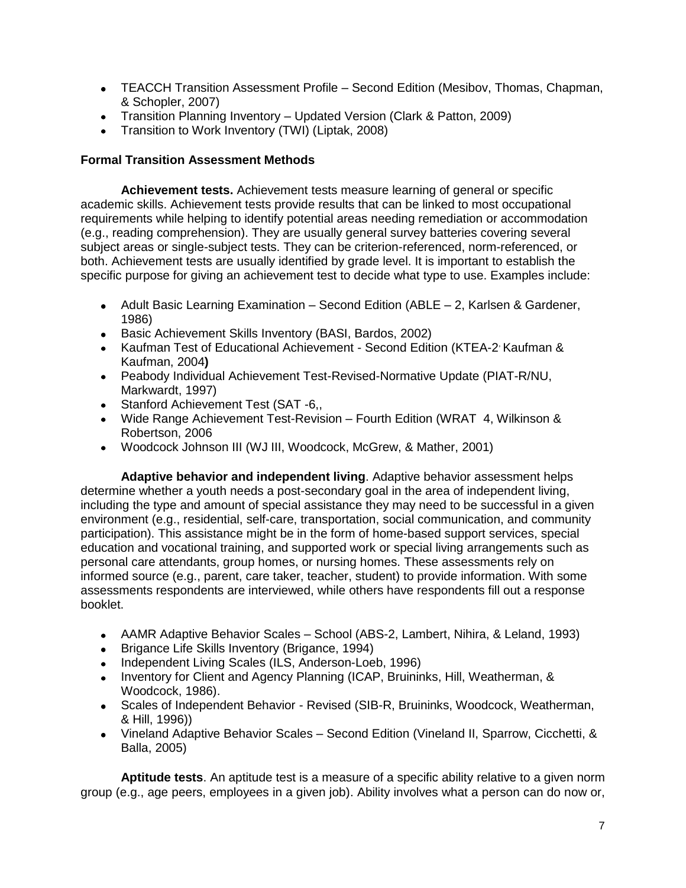- TEACCH Transition Assessment Profile Second Edition (Mesibov, Thomas, Chapman, & Schopler, 2007)
- Transition Planning Inventory Updated Version (Clark & Patton, 2009)
- Transition to Work Inventory (TWI) (Liptak, 2008)

### **Formal Transition Assessment Methods**

<span id="page-8-2"></span>**Achievement tests.** Achievement tests measure learning of general or specific academic skills. Achievement tests provide results that can be linked to most occupational requirements while helping to identify potential areas needing remediation or accommodation (e.g., reading comprehension). They are usually general survey batteries covering several subject areas or single-subject tests. They can be criterion-referenced, norm-referenced, or both. Achievement tests are usually identified by grade level. It is important to establish the specific purpose for giving an achievement test to decide what type to use. Examples include:

- Adult Basic Learning Examination Second Edition (ABLE 2, Karlsen & Gardener, 1986)
- Basic Achievement Skills Inventory (BASI, Bardos, 2002)
- Kaufman Test of Educational Achievement Second Edition (KTEA-2 , Kaufman & Kaufman, 2004**)**
- Peabody Individual Achievement Test-Revised-Normative Update (PIAT-R/NU, Markwardt, 1997)
- Stanford Achievement Test (SAT -6,,
- Wide Range Achievement Test-Revision Fourth Edition (WRAT 4, Wilkinson & Robertson, 2006
- Woodcock Johnson III (WJ III, Woodcock, McGrew, & Mather, 2001)

<span id="page-8-0"></span>**Adaptive behavior and independent living**. Adaptive behavior assessment helps determine whether a youth needs a post-secondary goal in the area of independent living, including the type and amount of special assistance they may need to be successful in a given environment (e.g., residential, self-care, transportation, social communication, and community participation). This assistance might be in the form of home-based support services, special education and vocational training, and supported work or special living arrangements such as personal care attendants, group homes, or nursing homes. These assessments rely on informed source (e.g., parent, care taker, teacher, student) to provide information. With some assessments respondents are interviewed, while others have respondents fill out a response booklet.

- AAMR Adaptive Behavior Scales School (ABS-2, Lambert, Nihira, & Leland, 1993)
- Brigance Life Skills Inventory (Brigance, 1994)
- Independent Living Scales (ILS, Anderson-Loeb, 1996)
- Inventory for Client and Agency Planning (ICAP, Bruininks, Hill, Weatherman, & Woodcock, 1986).
- Scales of Independent Behavior Revised (SIB-R, Bruininks, Woodcock, Weatherman, & Hill, 1996))
- Vineland Adaptive Behavior Scales Second Edition (Vineland II, Sparrow, Cicchetti, & Balla, 2005)

<span id="page-8-1"></span>**Aptitude tests**. An aptitude test is a measure of a specific ability relative to a given norm group (e.g., age peers, employees in a given job). Ability involves what a person can do now or,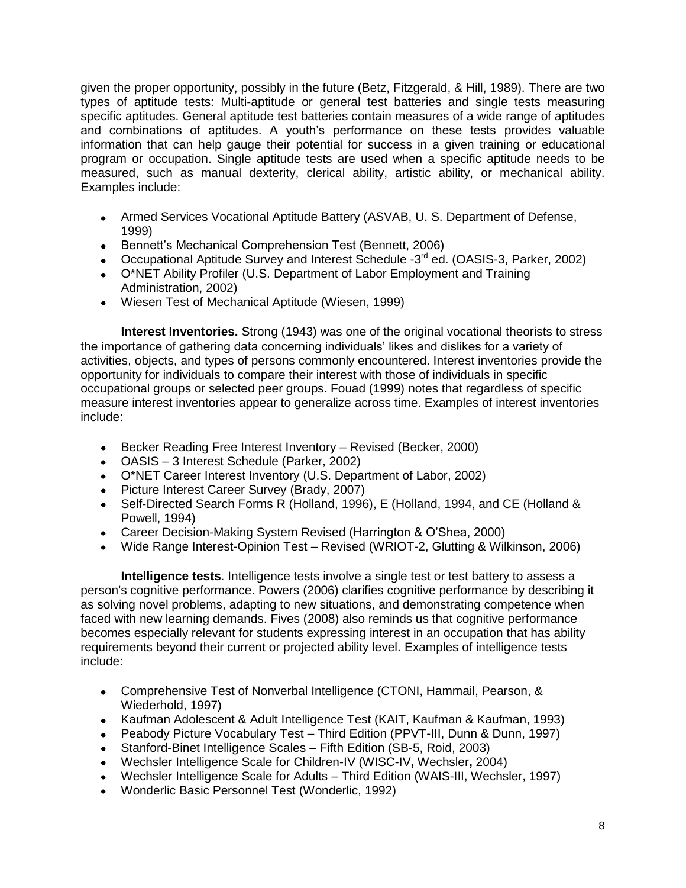given the proper opportunity, possibly in the future (Betz, Fitzgerald, & Hill, 1989). There are two types of aptitude tests: Multi-aptitude or general test batteries and single tests measuring specific aptitudes. General aptitude test batteries contain measures of a wide range of aptitudes and combinations of aptitudes. A youth's performance on these tests provides valuable information that can help gauge their potential for success in a given training or educational program or occupation. Single aptitude tests are used when a specific aptitude needs to be measured, such as manual dexterity, clerical ability, artistic ability, or mechanical ability. Examples include:

- Armed Services Vocational Aptitude Battery (ASVAB, U. S. Department of Defense, 1999)
- Bennett's Mechanical Comprehension Test (Bennett, 2006)
- Occupational Aptitude Survey and Interest Schedule -3<sup>rd</sup> ed. (OASIS-3, Parker, 2002)
- O\*NET Ability Profiler (U.S. Department of Labor Employment and Training Administration, 2002)
- <span id="page-9-0"></span>Wiesen Test of Mechanical Aptitude (Wiesen, 1999)

**Interest Inventories.** Strong (1943) was one of the original vocational theorists to stress the importance of gathering data concerning individuals" likes and dislikes for a variety of activities, objects, and types of persons commonly encountered. Interest inventories provide the opportunity for individuals to compare their interest with those of individuals in specific occupational groups or selected peer groups. Fouad (1999) notes that regardless of specific measure interest inventories appear to generalize across time. Examples of interest inventories include:

- Becker Reading Free Interest Inventory Revised (Becker, 2000)
- OASIS 3 Interest Schedule (Parker, 2002)
- O\*NET Career Interest Inventory (U.S. Department of Labor, 2002)
- Picture Interest Career Survey (Brady, 2007)
- Self-Directed Search Forms R (Holland, 1996), E (Holland, 1994, and CE (Holland & Powell, 1994)
- Career Decision-Making System Revised (Harrington & O"Shea, 2000)
- <span id="page-9-1"></span>Wide Range Interest-Opinion Test – Revised (WRIOT-2, Glutting & Wilkinson, 2006)

**Intelligence tests**. Intelligence tests involve a single test or test battery to assess a person's cognitive performance. Powers (2006) clarifies cognitive performance by describing it as solving novel problems, adapting to new situations, and demonstrating competence when faced with new learning demands. Fives (2008) also reminds us that cognitive performance becomes especially relevant for students expressing interest in an occupation that has ability requirements beyond their current or projected ability level. Examples of intelligence tests include:

- Comprehensive Test of Nonverbal Intelligence (CTONI, Hammail, Pearson, & Wiederhold, 1997)
- Kaufman Adolescent & Adult Intelligence Test (KAIT, Kaufman & Kaufman, 1993)
- Peabody Picture Vocabulary Test Third Edition (PPVT-III, Dunn & Dunn, 1997)
- Stanford-Binet Intelligence Scales Fifth Edition (SB-5, Roid, 2003)
- Wechsler Intelligence Scale for Children-IV (WISC-IV**,** Wechsler**,** 2004)
- Wechsler Intelligence Scale for Adults Third Edition (WAIS-III, Wechsler, 1997)
- Wonderlic Basic Personnel Test (Wonderlic, 1992)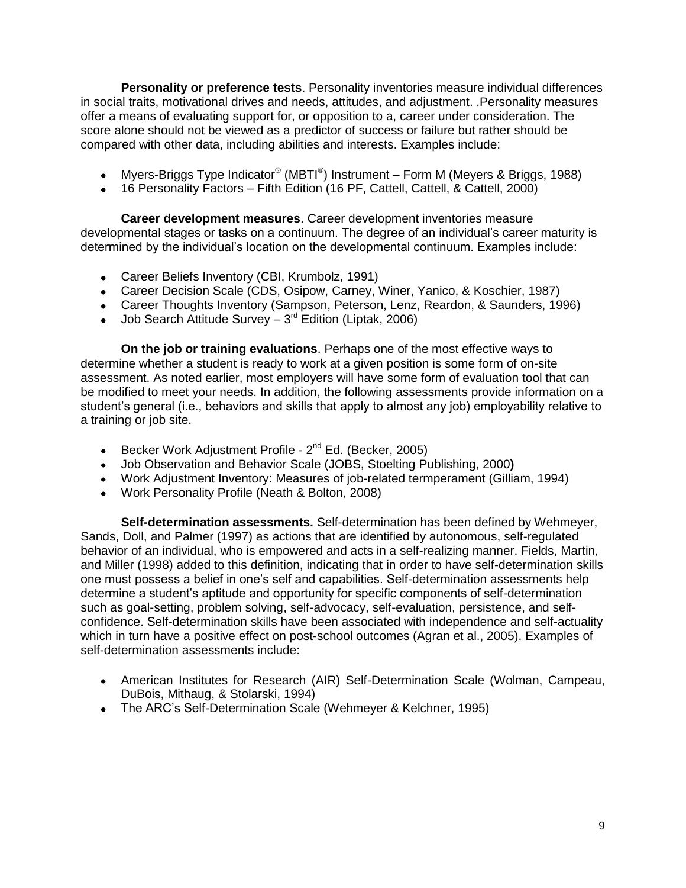<span id="page-10-0"></span>**Personality or preference tests**. Personality inventories measure individual differences in social traits, motivational drives and needs, attitudes, and adjustment. .Personality measures offer a means of evaluating support for, or opposition to a, career under consideration. The score alone should not be viewed as a predictor of success or failure but rather should be compared with other data, including abilities and interests. Examples include:

- Myers-Briggs Type Indicator® (MBTI®) Instrument Form M (Meyers & Briggs, 1988)  $\bullet$
- 16 Personality Factors Fifth Edition (16 PF, Cattell, Cattell, & Cattell, 2000)

<span id="page-10-1"></span>**Career development measures**. Career development inventories measure developmental stages or tasks on a continuum. The degree of an individual"s career maturity is determined by the individual"s location on the developmental continuum. Examples include:

- Career Beliefs Inventory (CBI, Krumbolz, 1991)
- Career Decision Scale (CDS, Osipow, Carney, Winer, Yanico, & Koschier, 1987)
- Career Thoughts Inventory (Sampson, Peterson, Lenz, Reardon, & Saunders, 1996)
- <span id="page-10-2"></span>Job Search Attitude Survey - 3<sup>rd</sup> Edition (Liptak, 2006)

**On the job or training evaluations**. Perhaps one of the most effective ways to determine whether a student is ready to work at a given position is some form of on-site assessment. As noted earlier, most employers will have some form of evaluation tool that can be modified to meet your needs. In addition, the following assessments provide information on a student"s general (i.e., behaviors and skills that apply to almost any job) employability relative to a training or job site.

- Becker Work Adjustment Profile 2<sup>nd</sup> Ed. (Becker, 2005)
- Job Observation and Behavior Scale (JOBS, Stoelting Publishing, 2000**)**
- Work Adjustment Inventory: Measures of job-related termperament (Gilliam, 1994)
- <span id="page-10-3"></span>Work Personality Profile (Neath & Bolton, 2008)

**Self-determination assessments.** Self-determination has been defined by Wehmeyer, Sands, Doll, and Palmer (1997) as actions that are identified by autonomous, self-regulated behavior of an individual, who is empowered and acts in a self-realizing manner. Fields, Martin, and Miller (1998) added to this definition, indicating that in order to have self-determination skills one must possess a belief in one"s self and capabilities. Self-determination assessments help determine a student"s aptitude and opportunity for specific components of self-determination such as goal-setting, problem solving, self-advocacy, self-evaluation, persistence, and selfconfidence. Self-determination skills have been associated with independence and self-actuality which in turn have a positive effect on post-school outcomes (Agran et al., 2005). Examples of self-determination assessments include:

- American Institutes for Research (AIR) Self-Determination Scale (Wolman, Campeau, DuBois, Mithaug, & Stolarski, 1994)
- The ARC"s Self-Determination Scale (Wehmeyer & Kelchner, 1995)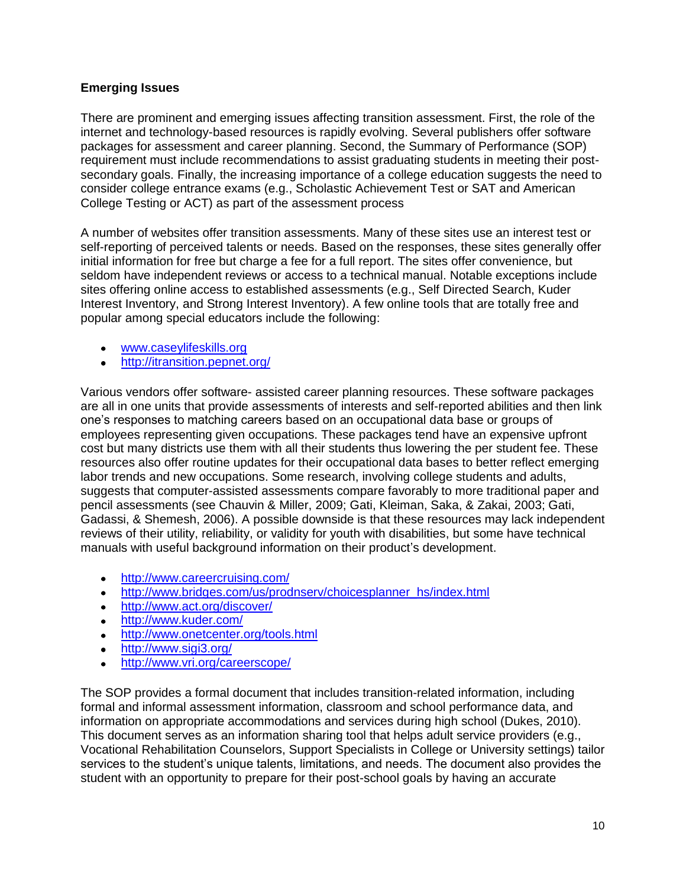### <span id="page-11-0"></span>**Emerging Issues**

There are prominent and emerging issues affecting transition assessment. First, the role of the internet and technology-based resources is rapidly evolving. Several publishers offer software packages for assessment and career planning. Second, the Summary of Performance (SOP) requirement must include recommendations to assist graduating students in meeting their postsecondary goals. Finally, the increasing importance of a college education suggests the need to consider college entrance exams (e.g., Scholastic Achievement Test or SAT and American College Testing or ACT) as part of the assessment process

A number of websites offer transition assessments. Many of these sites use an interest test or self-reporting of perceived talents or needs. Based on the responses, these sites generally offer initial information for free but charge a fee for a full report. The sites offer convenience, but seldom have independent reviews or access to a technical manual. Notable exceptions include sites offering online access to established assessments (e.g., Self Directed Search, Kuder Interest Inventory, and Strong Interest Inventory). A few online tools that are totally free and popular among special educators include the following:

- [www.caseylifeskills.org](http://www.caseylifeskills.org/)
- <http://itransition.pepnet.org/>

Various vendors offer software- assisted career planning resources. These software packages are all in one units that provide assessments of interests and self-reported abilities and then link one"s responses to matching careers based on an occupational data base or groups of employees representing given occupations. These packages tend have an expensive upfront cost but many districts use them with all their students thus lowering the per student fee. These resources also offer routine updates for their occupational data bases to better reflect emerging labor trends and new occupations. Some research, involving college students and adults, suggests that computer-assisted assessments compare favorably to more traditional paper and pencil assessments (see Chauvin & Miller, 2009; Gati, Kleiman, Saka, & Zakai, 2003; Gati, Gadassi, & Shemesh, 2006). A possible downside is that these resources may lack independent reviews of their utility, reliability, or validity for youth with disabilities, but some have technical manuals with useful background information on their product's development.

- <http://www.careercruising.com/>
- [http://www.bridges.com/us/prodnserv/choicesplanner\\_hs/index.html](http://www.bridges.com/us/prodnserv/choicesplanner_hs/index.html)  $\bullet$
- <http://www.act.org/discover/>
- <http://www.kuder.com/>
- **•** <http://www.onetcenter.org/tools.html>
- <http://www.sigi3.org/>  $\bullet$
- <http://www.vri.org/careerscope/>

The SOP provides a formal document that includes transition-related information, including formal and informal assessment information, classroom and school performance data, and information on appropriate accommodations and services during high school (Dukes, 2010). This document serves as an information sharing tool that helps adult service providers (e.g., Vocational Rehabilitation Counselors, Support Specialists in College or University settings) tailor services to the student"s unique talents, limitations, and needs. The document also provides the student with an opportunity to prepare for their post-school goals by having an accurate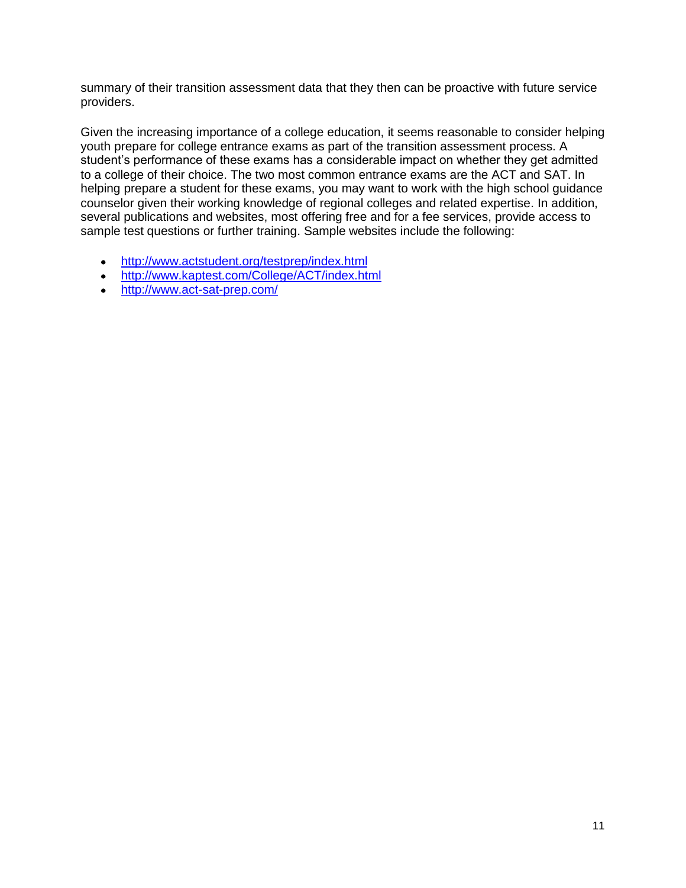summary of their transition assessment data that they then can be proactive with future service providers.

Given the increasing importance of a college education, it seems reasonable to consider helping youth prepare for college entrance exams as part of the transition assessment process. A student"s performance of these exams has a considerable impact on whether they get admitted to a college of their choice. The two most common entrance exams are the ACT and SAT. In helping prepare a student for these exams, you may want to work with the high school guidance counselor given their working knowledge of regional colleges and related expertise. In addition, several publications and websites, most offering free and for a fee services, provide access to sample test questions or further training. Sample websites include the following:

- <http://www.actstudent.org/testprep/index.html>
- <http://www.kaptest.com/College/ACT/index.html>
- <http://www.act-sat-prep.com/>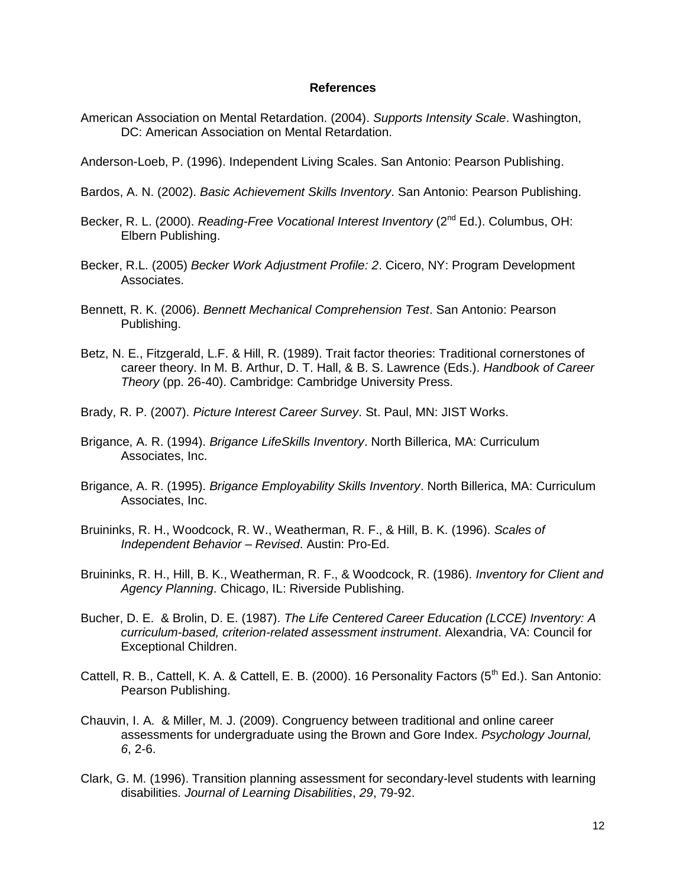#### **References**

American Association on Mental Retardation. (2004). *Supports Intensity Scale*. Washington, DC: American Association on Mental Retardation.

Anderson-Loeb, P. (1996). Independent Living Scales. San Antonio: Pearson Publishing.

- Bardos, A. N. (2002). *Basic Achievement Skills Inventory*. San Antonio: Pearson Publishing.
- Becker, R. L. (2000). *Reading-Free Vocational Interest Inventory* (2<sup>nd</sup> Ed.). Columbus, OH: Elbern Publishing.
- Becker, R.L. (2005) *Becker Work Adjustment Profile: 2*. Cicero, NY: Program Development Associates.
- Bennett, R. K. (2006). *Bennett Mechanical Comprehension Test*. San Antonio: Pearson Publishing.
- Betz, N. E., Fitzgerald, L.F. & Hill, R. (1989). Trait factor theories: Traditional cornerstones of career theory. In M. B. Arthur, D. T. Hall, & B. S. Lawrence (Eds.). *Handbook of Career Theory* (pp. 26-40). Cambridge: Cambridge University Press.
- Brady, R. P. (2007). *Picture Interest Career Survey*. St. Paul, MN: JIST Works.
- Brigance, A. R. (1994). *Brigance LifeSkills Inventory*. North Billerica, MA: Curriculum Associates, Inc.
- Brigance, A. R. (1995). *Brigance Employability Skills Inventory*. North Billerica, MA: Curriculum Associates, Inc.
- Bruininks, R. H., Woodcock, R. W., Weatherman, R. F., & Hill, B. K. (1996). *Scales of Independent Behavior – Revised*. Austin: Pro-Ed.
- Bruininks, R. H., Hill, B. K., Weatherman, R. F., & Woodcock, R. (1986). *Inventory for Client and Agency Planning*. Chicago, IL: Riverside Publishing.
- Bucher, D. E. & Brolin, D. E. (1987). *The Life Centered Career Education (LCCE) Inventory: A curriculum-based, criterion-related assessment instrument*. Alexandria, VA: Council for Exceptional Children.
- Cattell, R. B., Cattell, K. A. & Cattell, E. B. (2000). 16 Personality Factors ( $5<sup>th</sup>$  Ed.). San Antonio: Pearson Publishing.
- Chauvin, I. A. & Miller, M. J. (2009). Congruency between traditional and online career assessments for undergraduate using the Brown and Gore Index. *Psychology Journal, 6*, 2-6.
- Clark, G. M. (1996). Transition planning assessment for secondary-level students with learning disabilities. *Journal of Learning Disabilities*, *29*, 79-92.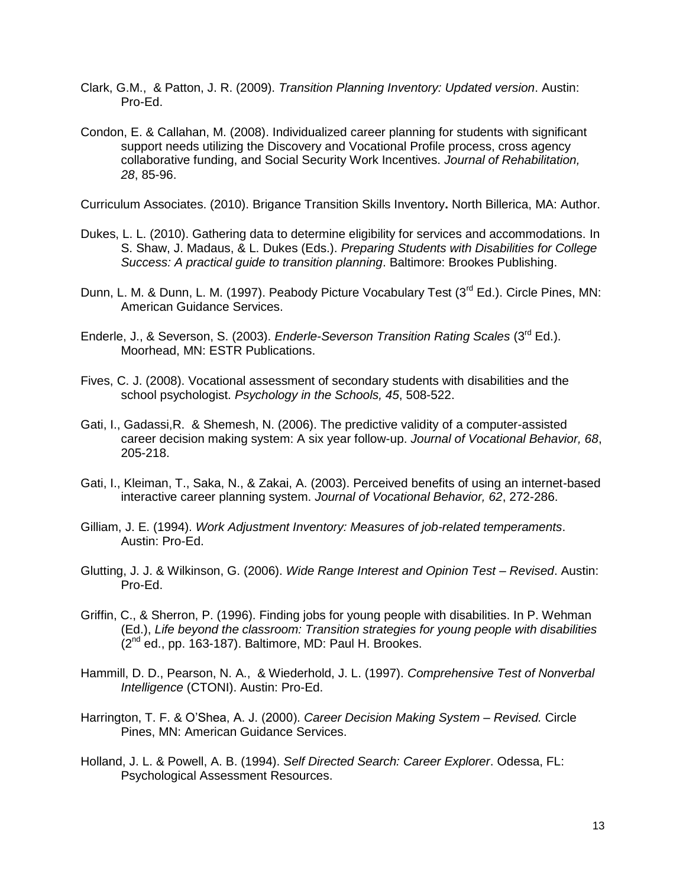- Clark, G.M., & Patton, J. R. (2009). *Transition Planning Inventory: Updated version*. Austin: Pro-Ed.
- Condon, E. & Callahan, M. (2008). Individualized career planning for students with significant support needs utilizing the Discovery and Vocational Profile process, cross agency collaborative funding, and Social Security Work Incentives. *Journal of Rehabilitation, 28*, 85-96.

Curriculum Associates. (2010). Brigance Transition Skills Inventory**.** North Billerica, MA: Author.

- Dukes, L. L. (2010). Gathering data to determine eligibility for services and accommodations. In S. Shaw, J. Madaus, & L. Dukes (Eds.). *Preparing Students with Disabilities for College Success: A practical guide to transition planning*. Baltimore: Brookes Publishing.
- Dunn, L. M. & Dunn, L. M. (1997). Peabody Picture Vocabulary Test (3<sup>rd</sup> Ed.). Circle Pines, MN: American Guidance Services.
- Enderle, J., & Severson, S. (2003). *Enderle-Severson Transition Rating Scales* (3rd Ed.). Moorhead, MN: ESTR Publications.
- Fives, C. J. (2008). Vocational assessment of secondary students with disabilities and the school psychologist. *Psychology in the Schools, 45*, 508-522.
- Gati, I., Gadassi,R. & Shemesh, N. (2006). The predictive validity of a computer-assisted career decision making system: A six year follow-up. *Journal of Vocational Behavior, 68*, 205-218.
- Gati, I., Kleiman, T., Saka, N., & Zakai, A. (2003). Perceived benefits of using an internet-based interactive career planning system. *Journal of Vocational Behavior, 62*, 272-286.
- Gilliam, J. E. (1994). *Work Adjustment Inventory: Measures of job-related temperaments*. Austin: Pro-Ed.
- Glutting, J. J. & Wilkinson, G. (2006). *Wide Range Interest and Opinion Test – Revised*. Austin: Pro-Ed.
- Griffin, C., & Sherron, P. (1996). Finding jobs for young people with disabilities. In P. Wehman (Ed.), *Life beyond the classroom: Transition strategies for young people with disabilities* (2<sup>nd</sup> ed., pp. 163-187). Baltimore, MD: Paul H. Brookes.
- Hammill, D. D., Pearson, N. A., & Wiederhold, J. L. (1997). *Comprehensive Test of Nonverbal Intelligence* (CTONI). Austin: Pro-Ed.
- Harrington, T. F. & O"Shea, A. J. (2000). *Career Decision Making System – Revised.* Circle Pines, MN: American Guidance Services.
- Holland, J. L. & Powell, A. B. (1994). *Self Directed Search: Career Explorer*. Odessa, FL: Psychological Assessment Resources.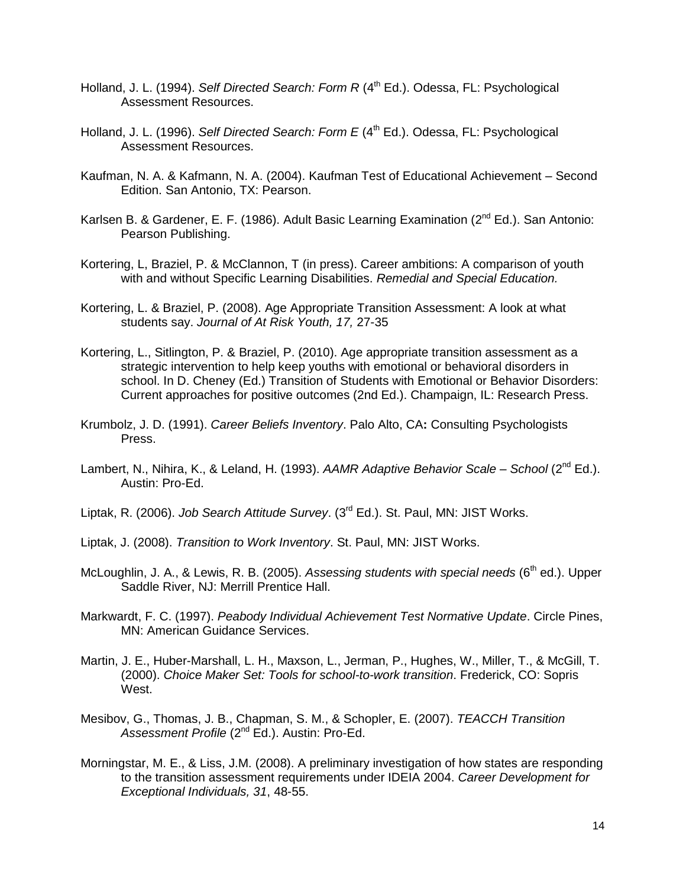- Holland, J. L. (1994). *Self Directed Search: Form R* (4<sup>th</sup> Ed.). Odessa, FL: Psychological Assessment Resources.
- Holland, J. L. (1996). *Self Directed Search: Form E* (4<sup>th</sup> Ed.). Odessa, FL: Psychological Assessment Resources.
- Kaufman, N. A. & Kafmann, N. A. (2004). Kaufman Test of Educational Achievement Second Edition. San Antonio, TX: Pearson.
- Karlsen B. & Gardener, E. F. (1986). Adult Basic Learning Examination (2<sup>nd</sup> Ed.). San Antonio: Pearson Publishing.
- Kortering, L, Braziel, P. & McClannon, T (in press). Career ambitions: A comparison of youth with and without Specific Learning Disabilities. *Remedial and Special Education.*
- Kortering, L. & Braziel, P. (2008). Age Appropriate Transition Assessment: A look at what students say. *Journal of At Risk Youth, 17,* 27-35
- Kortering, L., Sitlington, P. & Braziel, P. (2010). Age appropriate transition assessment as a strategic intervention to help keep youths with emotional or behavioral disorders in school. In D. Cheney (Ed.) Transition of Students with Emotional or Behavior Disorders: Current approaches for positive outcomes (2nd Ed.). Champaign, IL: Research Press.
- Krumbolz, J. D. (1991). *Career Beliefs Inventory*. Palo Alto, CA**:** Consulting Psychologists Press.
- Lambert, N., Nihira, K., & Leland, H. (1993). *AAMR Adaptive Behavior Scale – School* (2nd Ed.). Austin: Pro-Ed.
- Liptak, R. (2006). *Job Search Attitude Survey*. (3rd Ed.). St. Paul, MN: JIST Works.
- Liptak, J. (2008). *Transition to Work Inventory*. St. Paul, MN: JIST Works.
- McLoughlin, J. A., & Lewis, R. B. (2005). Assessing students with special needs (6<sup>th</sup> ed.). Upper Saddle River, NJ: Merrill Prentice Hall.
- Markwardt, F. C. (1997). *Peabody Individual Achievement Test Normative Update*. Circle Pines, MN: American Guidance Services.
- Martin, J. E., Huber-Marshall, L. H., Maxson, L., Jerman, P., Hughes, W., Miller, T., & McGill, T. (2000). *Choice Maker Set: Tools for school-to-work transition*. Frederick, CO: Sopris West.
- Mesibov, G., Thomas, J. B., Chapman, S. M., & Schopler, E. (2007). *TEACCH Transition*  Assessment Profile (2<sup>nd</sup> Ed.). Austin: Pro-Ed.
- Morningstar, M. E., & Liss, J.M. (2008). A preliminary investigation of how states are responding to the transition assessment requirements under IDEIA 2004. *Career Development for Exceptional Individuals, 31*, 48-55.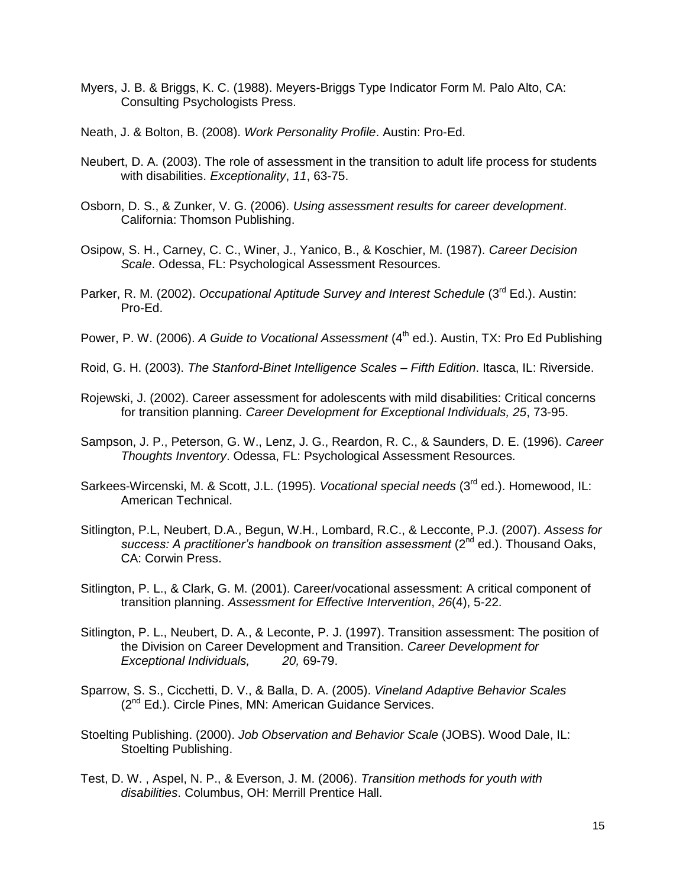- Myers, J. B. & Briggs, K. C. (1988). Meyers-Briggs Type Indicator Form M. Palo Alto, CA: Consulting Psychologists Press.
- Neath, J. & Bolton, B. (2008). *Work Personality Profile*. Austin: Pro-Ed.
- Neubert, D. A. (2003). The role of assessment in the transition to adult life process for students with disabilities. *Exceptionality*, *11*, 63-75.
- Osborn, D. S., & Zunker, V. G. (2006). *Using assessment results for career development*. California: Thomson Publishing.
- Osipow, S. H., Carney, C. C., Winer, J., Yanico, B., & Koschier, M. (1987). *Career Decision Scale*. Odessa, FL: Psychological Assessment Resources.
- Parker, R. M. (2002). *Occupational Aptitude Survey and Interest Schedule* (3<sup>rd</sup> Ed.). Austin: Pro-Ed.
- Power, P. W. (2006). *A Guide to Vocational Assessment* (4<sup>th</sup> ed.). Austin, TX: Pro Ed Publishing
- Roid, G. H. (2003). *The Stanford-Binet Intelligence Scales – Fifth Edition*. Itasca, IL: Riverside.
- Rojewski, J. (2002). Career assessment for adolescents with mild disabilities: Critical concerns for transition planning. *Career Development for Exceptional Individuals, 25*, 73-95.
- Sampson, J. P., Peterson, G. W., Lenz, J. G., Reardon, R. C., & Saunders, D. E. (1996). *Career Thoughts Inventory*. Odessa, FL: Psychological Assessment Resources.
- Sarkees-Wircenski, M. & Scott, J.L. (1995). *Vocational special needs* (3<sup>rd</sup> ed.). Homewood, IL: American Technical.
- Sitlington, P.L, Neubert, D.A., Begun, W.H., Lombard, R.C., & Lecconte, P.J. (2007). *Assess for*  success: A practitioner's handbook on transition assessment (2<sup>nd</sup> ed.). Thousand Oaks, CA: Corwin Press.
- Sitlington, P. L., & Clark, G. M. (2001). Career/vocational assessment: A critical component of transition planning. *Assessment for Effective Intervention*, *26*(4), 5-22.
- Sitlington, P. L., Neubert, D. A., & Leconte, P. J. (1997). Transition assessment: The position of the Division on Career Development and Transition. *Career Development for Exceptional Individuals, 20,* 69-79.
- Sparrow, S. S., Cicchetti, D. V., & Balla, D. A. (2005). *Vineland Adaptive Behavior Scales*  $(2^{nd}$  Ed.). Circle Pines, MN: American Guidance Services.
- Stoelting Publishing. (2000). *Job Observation and Behavior Scale* (JOBS). Wood Dale, IL: Stoelting Publishing.
- Test, D. W. , Aspel, N. P., & Everson, J. M. (2006). *Transition methods for youth with disabilities*. Columbus, OH: Merrill Prentice Hall.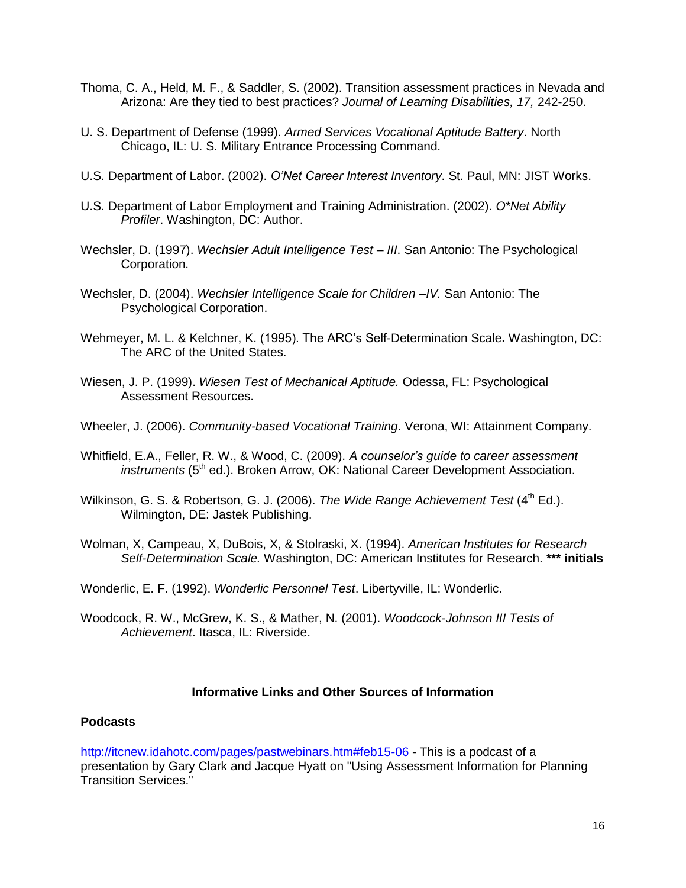- Thoma, C. A., Held, M. F., & Saddler, S. (2002). Transition assessment practices in Nevada and Arizona: Are they tied to best practices? *Journal of Learning Disabilities, 17,* 242-250.
- U. S. Department of Defense (1999). *Armed Services Vocational Aptitude Battery*. North Chicago, IL: U. S. Military Entrance Processing Command.
- U.S. Department of Labor. (2002). *O'Net Career Interest Inventory*. St. Paul, MN: JIST Works.
- U.S. Department of Labor Employment and Training Administration. (2002). *O\*Net Ability Profiler*. Washington, DC: Author.
- Wechsler, D. (1997). *Wechsler Adult Intelligence Test – III*. San Antonio: The Psychological Corporation.
- Wechsler, D. (2004). *Wechsler Intelligence Scale for Children –IV.* San Antonio: The Psychological Corporation.
- Wehmeyer, M. L. & Kelchner, K. (1995). The ARC"s Self-Determination Scale**.** Washington, DC: The ARC of the United States.
- Wiesen, J. P. (1999). *Wiesen Test of Mechanical Aptitude.* Odessa, FL: Psychological Assessment Resources.
- Wheeler, J. (2006). *Community-based Vocational Training*. Verona, WI: Attainment Company.
- Whitfield, E.A., Feller, R. W., & Wood, C. (2009). *A counselor's guide to career assessment instruments* (5<sup>th</sup> ed.). Broken Arrow, OK: National Career Development Association.
- Wilkinson, G. S. & Robertson, G. J. (2006). *The Wide Range Achievement Test* (4<sup>th</sup> Ed.). Wilmington, DE: Jastek Publishing.
- Wolman, X, Campeau, X, DuBois, X, & Stolraski, X. (1994). *American Institutes for Research Self-Determination Scale.* Washington, DC: American Institutes for Research. **\*\*\* initials**
- Wonderlic, E. F. (1992). *Wonderlic Personnel Test*. Libertyville, IL: Wonderlic.
- Woodcock, R. W., McGrew, K. S., & Mather, N. (2001). *Woodcock-Johnson III Tests of Achievement*. Itasca, IL: Riverside.

### **Informative Links and Other Sources of Information**

#### **Podcasts**

<http://itcnew.idahotc.com/pages/pastwebinars.htm#feb15-06> - This is a podcast of a presentation by Gary Clark and Jacque Hyatt on "Using Assessment Information for Planning Transition Services."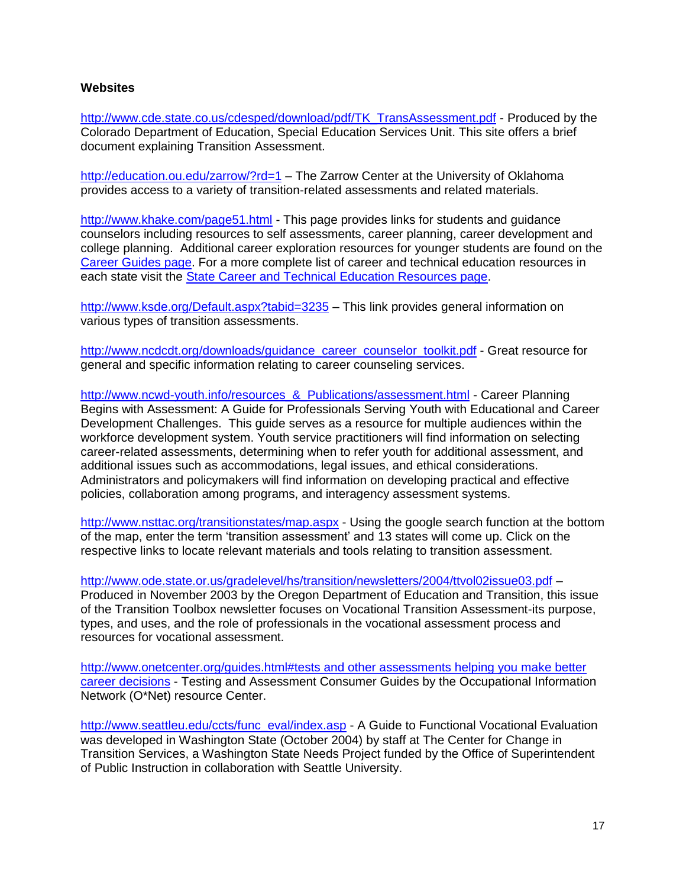#### **Websites**

[http://www.cde.state.co.us/cdesped/download/pdf/TK\\_TransAssessment.pdf](http://www.cde.state.co.us/cdesped/download/pdf/TK_TransAssessment.pdf) - Produced by the Colorado Department of Education, Special Education Services Unit. This site offers a brief document explaining Transition Assessment.

<http://education.ou.edu/zarrow/?rd=1> – The Zarrow Center at the University of Oklahoma provides access to a variety of transition-related assessments and related materials.

<http://www.khake.com/page51.html> - This page provides links for students and guidance counselors including resources to self assessments, career planning, career development and college planning. Additional career exploration resources for younger students are found on the [Career Guides page.](http://www.khake.com/page64.html) For a more complete list of career and technical education resources in each state visit the [State Career and Technical Education Resources page.](http://www.khake.com/page36.html)

<http://www.ksde.org/Default.aspx?tabid=3235> - This link provides general information on various types of transition assessments.

[http://www.ncdcdt.org/downloads/guidance\\_career\\_counselor\\_toolkit.pdf](http://www.ncdcdt.org/downloads/guidance_career_counselor_toolkit.pdf) - Great resource for general and specific information relating to career counseling services.

[http://www.ncwd-youth.info/resources\\_&\\_Publications/assessment.html](http://www.ncwd-youth.info/resources_&_Publications/assessment.html) - Career Planning Begins with Assessment: A Guide for Professionals Serving Youth with Educational and Career Development Challenges. This guide serves as a resource for multiple audiences within the workforce development system. Youth service practitioners will find information on selecting career-related assessments, determining when to refer youth for additional assessment, and additional issues such as accommodations, legal issues, and ethical considerations. Administrators and policymakers will find information on developing practical and effective policies, collaboration among programs, and interagency assessment systems.

<http://www.nsttac.org/transitionstates/map.aspx> - Using the google search function at the bottom of the map, enter the term "transition assessment" and 13 states will come up. Click on the respective links to locate relevant materials and tools relating to transition assessment.

<http://www.ode.state.or.us/gradelevel/hs/transition/newsletters/2004/ttvol02issue03.pdf> – Produced in November 2003 by the Oregon Department of Education and Transition, this issue of the Transition Toolbox newsletter focuses on Vocational Transition Assessment-its purpose, types, and uses, and the role of professionals in the vocational assessment process and resources for vocational assessment.

[http://www.onetcenter.org/guides.html#tests and other assessments helping you make better](http://www.onetcenter.org/guides.html#tests_and_other_assessments__helping_you_make_better_career_decisions)  [career decisions](http://www.onetcenter.org/guides.html#tests_and_other_assessments__helping_you_make_better_career_decisions) - Testing and Assessment Consumer Guides by the Occupational Information Network (O\*Net) resource Center.

[http://www.seattleu.edu/ccts/func\\_eval/index.asp](http://www.seattleu.edu/ccts/) - A Guide to Functional Vocational Evaluation was developed in Washington State (October 2004) by staff at The Center for Change in Transition Services, a Washington State Needs Project funded by the Office of Superintendent of Public Instruction in collaboration with Seattle University.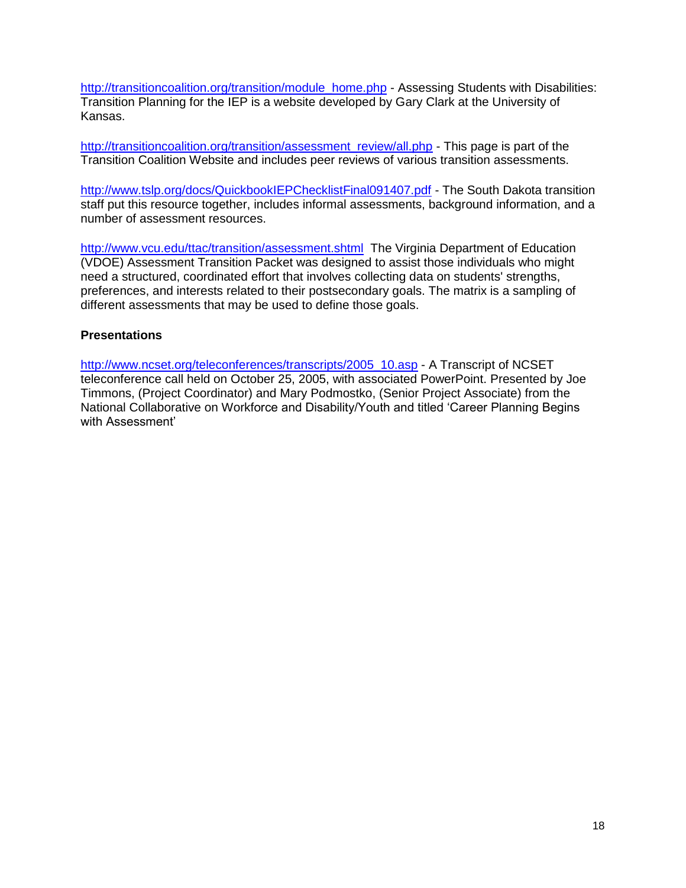[http://transitioncoalition.org/transition/module\\_home.php](http://transitioncoalition.org/transition/module_home.php) - Assessing Students with Disabilities: Transition Planning for the IEP is a website developed by Gary Clark at the University of Kansas.

[http://transitioncoalition.org/transition/assessment\\_review/all.php](http://transitioncoalition.org/transition/assessment_review/all.php) - This page is part of the Transition Coalition Website and includes peer reviews of various transition assessments.

<http://www.tslp.org/docs/QuickbookIEPChecklistFinal091407.pdf> - The South Dakota transition staff put this resource together, includes informal assessments, background information, and a number of assessment resources.

<http://www.vcu.edu/ttac/transition/assessment.shtml>The Virginia Department of Education (VDOE) Assessment Transition Packet was designed to assist those individuals who might need a structured, coordinated effort that involves collecting data on students' strengths, preferences, and interests related to their postsecondary goals. The matrix is a sampling of different assessments that may be used to define those goals.

#### **Presentations**

[http://www.ncset.org/teleconferences/transcripts/2005\\_10.asp](http://www.ncset.org/teleconferences/transcripts/2005_10.asp) - A Transcript of NCSET teleconference call held on October 25, 2005, with associated PowerPoint. Presented by Joe Timmons, (Project Coordinator) and Mary Podmostko, (Senior Project Associate) from the National Collaborative on Workforce and Disability/Youth and titled "Career Planning Begins with Assessment'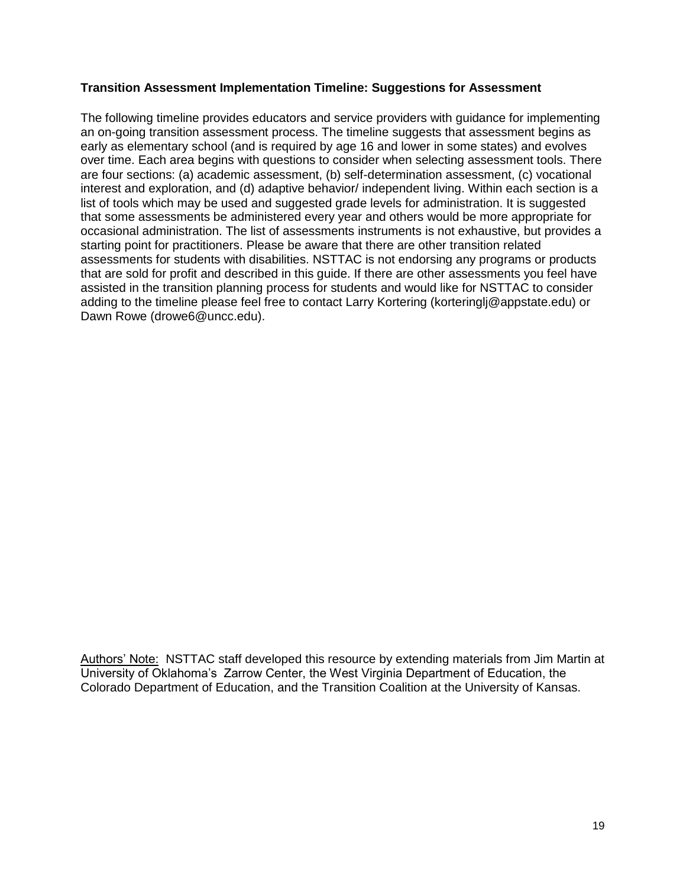#### **Transition Assessment Implementation Timeline: Suggestions for Assessment**

The following timeline provides educators and service providers with guidance for implementing an on-going transition assessment process. The timeline suggests that assessment begins as early as elementary school (and is required by age 16 and lower in some states) and evolves over time. Each area begins with questions to consider when selecting assessment tools. There are four sections: (a) academic assessment, (b) self-determination assessment, (c) vocational interest and exploration, and (d) adaptive behavior/ independent living. Within each section is a list of tools which may be used and suggested grade levels for administration. It is suggested that some assessments be administered every year and others would be more appropriate for occasional administration. The list of assessments instruments is not exhaustive, but provides a starting point for practitioners. Please be aware that there are other transition related assessments for students with disabilities. NSTTAC is not endorsing any programs or products that are sold for profit and described in this guide. If there are other assessments you feel have assisted in the transition planning process for students and would like for NSTTAC to consider adding to the timeline please feel free to contact Larry Kortering (korteringlj@appstate.edu) or Dawn Rowe (drowe6@uncc.edu).

Authors" Note: NSTTAC staff developed this resource by extending materials from Jim Martin at University of Oklahoma"s Zarrow Center, the West Virginia Department of Education, the Colorado Department of Education, and the Transition Coalition at the University of Kansas.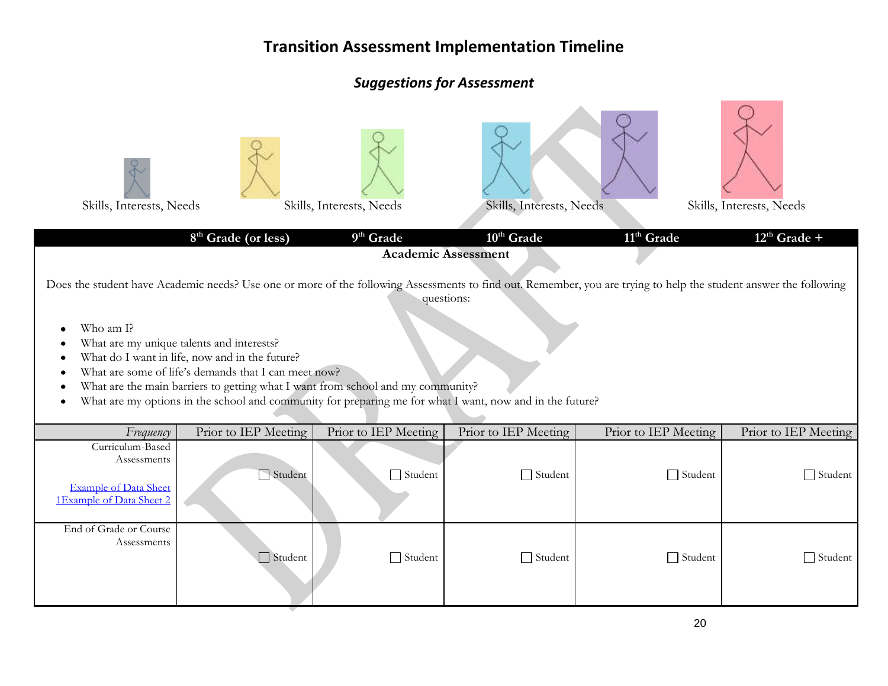| Skills, Interests, Needs                                                                                                                                                                                                                                                                                                                                                                                                                                                                                                                           | 8 <sup>th</sup> Grade (or less) | Skills, Interests, Needs<br>9 <sup>th</sup> Grade | Skills, Interests, Needs<br>$10^{\text{th}}$ Grade<br><b>Academic Assessment</b> | 11 <sup>th</sup> Grade | Skills, Interests, Needs<br>$12^{\text{th}}$ Grade + |  |
|----------------------------------------------------------------------------------------------------------------------------------------------------------------------------------------------------------------------------------------------------------------------------------------------------------------------------------------------------------------------------------------------------------------------------------------------------------------------------------------------------------------------------------------------------|---------------------------------|---------------------------------------------------|----------------------------------------------------------------------------------|------------------------|------------------------------------------------------|--|
| Does the student have Academic needs? Use one or more of the following Assessments to find out. Remember, you are trying to help the student answer the following<br>questions:<br>Who am I?<br>What are my unique talents and interests?<br>What do I want in life, now and in the future?<br>What are some of life's demands that I can meet now?<br>What are the main barriers to getting what I want from school and my community?<br>What are my options in the school and community for preparing me for what I want, now and in the future? |                                 |                                                   |                                                                                  |                        |                                                      |  |
| Frequency                                                                                                                                                                                                                                                                                                                                                                                                                                                                                                                                          | Prior to IEP Meeting            | Prior to IEP Meeting                              | Prior to IEP Meeting                                                             | Prior to IEP Meeting   | Prior to IEP Meeting                                 |  |
| Curriculum-Based<br>Assessments<br><b>Example of Data Sheet</b><br>1Example of Data Sheet 2                                                                                                                                                                                                                                                                                                                                                                                                                                                        | Student                         | $\Box$ Student                                    | $\Box$ Student                                                                   | $\Box$ Student         | $\Box$ Student                                       |  |
| End of Grade or Course<br>Assessments                                                                                                                                                                                                                                                                                                                                                                                                                                                                                                              | $\Box$ Student                  | $\Box$ Student                                    | $\Box$ Student                                                                   | $\Box$ Student         | $\Box$ Student                                       |  |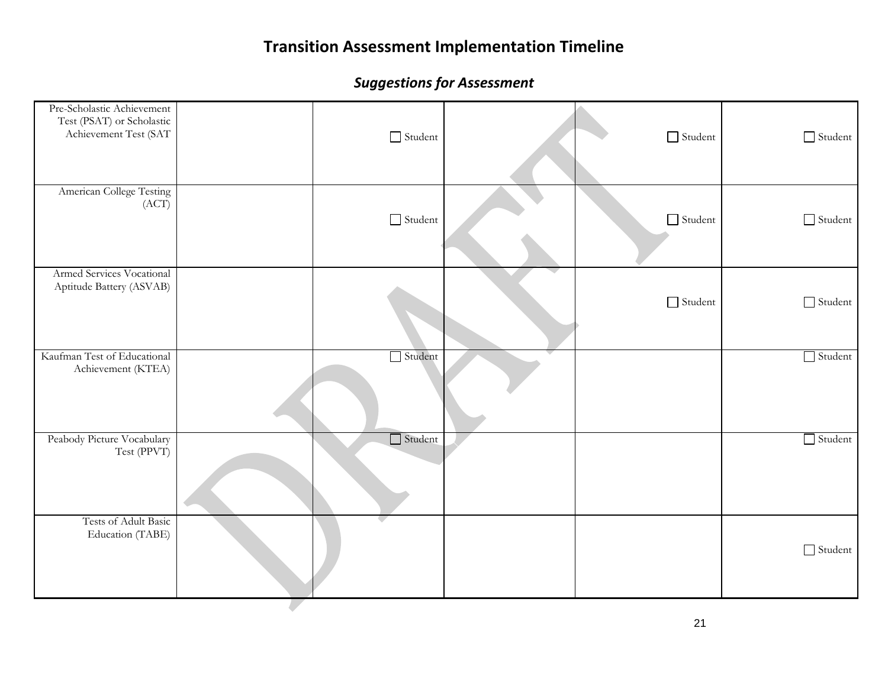| Pre-Scholastic Achievement<br>Test (PSAT) or Scholastic<br>Achievement Test (SAT | $\hfill\Box$ Student | $\hfill\Box$ Student | Student        |
|----------------------------------------------------------------------------------|----------------------|----------------------|----------------|
| American College Testing<br>(ACT)                                                | $\hfill\Box$ Student | $\hfill\Box$ Student | Student        |
| Armed Services Vocational<br>Aptitude Battery (ASVAB)                            |                      | $\hfill\Box$ Student | Student        |
| Kaufman Test of Educational<br>Achievement (KTEA)                                | $\Box$ Student       |                      | $\Box$ Student |
| Peabody Picture Vocabulary<br>Test (PPVT)                                        | $\Box$ Student       |                      | $\Box$ Student |
| Tests of Adult Basic<br>Education (TABE)                                         |                      |                      | Student        |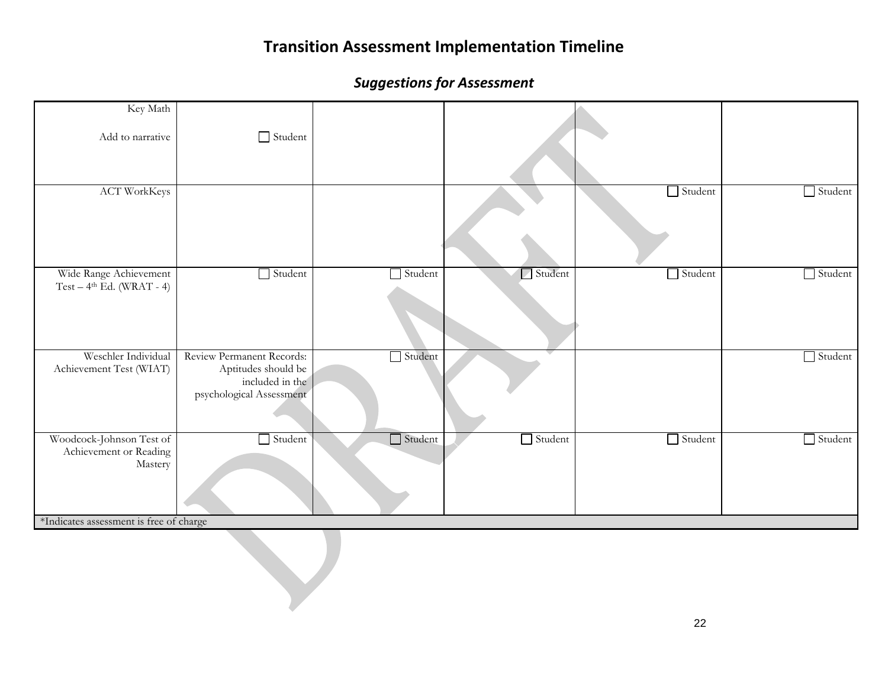| Key Math<br>Add to narrative                                                                             | Student                                                                                         |                |                |                |                |
|----------------------------------------------------------------------------------------------------------|-------------------------------------------------------------------------------------------------|----------------|----------------|----------------|----------------|
| <b>ACT WorkKeys</b>                                                                                      |                                                                                                 |                |                | Student        | $\Box$ Student |
| Wide Range Achievement<br>$Test-4th Ed. (WRAT - 4)$                                                      | Student                                                                                         | $\Box$ Student | Student        | $\Box$ Student | $\Box$ Student |
| Weschler Individual<br>Achievement Test (WIAT)                                                           | Review Permanent Records:<br>Aptitudes should be<br>included in the<br>psychological Assessment | $\Box$ Student |                |                | $\Box$ Student |
| Woodcock-Johnson Test of<br>Achievement or Reading<br>Mastery<br>*Indicates assessment is free of charge | $\Box$ Student                                                                                  | $\Box$ Student | $\Box$ Student | $\Box$ Student | $\Box$ Student |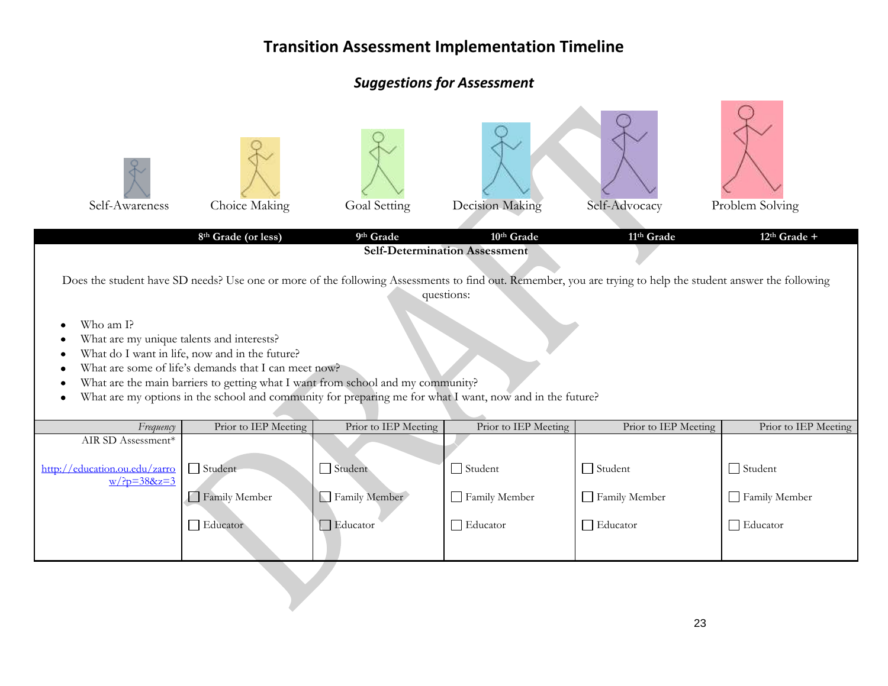### *Suggestions for Assessment*

| Self-Awareness                                                                                                                                                                                                                                                                                                                                                                                                                                                                                                                                                                       | Choice Making<br>8th Grade (or less) | Goal Setting<br>9th Grade | Decision Making<br>10th Grade | Self-Advocacy<br>11 <sup>th</sup> Grade | Problem Solving<br>$12th$ Grade + |  |  |
|--------------------------------------------------------------------------------------------------------------------------------------------------------------------------------------------------------------------------------------------------------------------------------------------------------------------------------------------------------------------------------------------------------------------------------------------------------------------------------------------------------------------------------------------------------------------------------------|--------------------------------------|---------------------------|-------------------------------|-----------------------------------------|-----------------------------------|--|--|
| <b>Self-Determination Assessment</b><br>Does the student have SD needs? Use one or more of the following Assessments to find out. Remember, you are trying to help the student answer the following<br>questions:<br>Who am I?<br>What are my unique talents and interests?<br>What do I want in life, now and in the future?<br>What are some of life's demands that I can meet now?<br>What are the main barriers to getting what I want from school and my community?<br>What are my options in the school and community for preparing me for what I want, now and in the future? |                                      |                           |                               |                                         |                                   |  |  |
| Frequency                                                                                                                                                                                                                                                                                                                                                                                                                                                                                                                                                                            | Prior to IEP Meeting                 | Prior to IEP Meeting      | Prior to IEP Meeting          | Prior to IEP Meeting                    | Prior to IEP Meeting              |  |  |
| AIR SD Assessment*                                                                                                                                                                                                                                                                                                                                                                                                                                                                                                                                                                   |                                      |                           |                               |                                         |                                   |  |  |
| http://education.ou.edu/zarro<br>$w/?p = 388z = 3$                                                                                                                                                                                                                                                                                                                                                                                                                                                                                                                                   | $\Box$ Student                       | $\Box$ Student            | $\Box$ Student                | $\Box$ Student                          | $\Box$ Student                    |  |  |
|                                                                                                                                                                                                                                                                                                                                                                                                                                                                                                                                                                                      | Family Member                        | Family Member             | Family Member                 | Family Member                           | Family Member                     |  |  |
|                                                                                                                                                                                                                                                                                                                                                                                                                                                                                                                                                                                      | Educator                             | $\Box$ Educator           | $\Box$ Educator               | $\Box$ Educator                         | $\Box$ Educator                   |  |  |
|                                                                                                                                                                                                                                                                                                                                                                                                                                                                                                                                                                                      |                                      |                           |                               |                                         |                                   |  |  |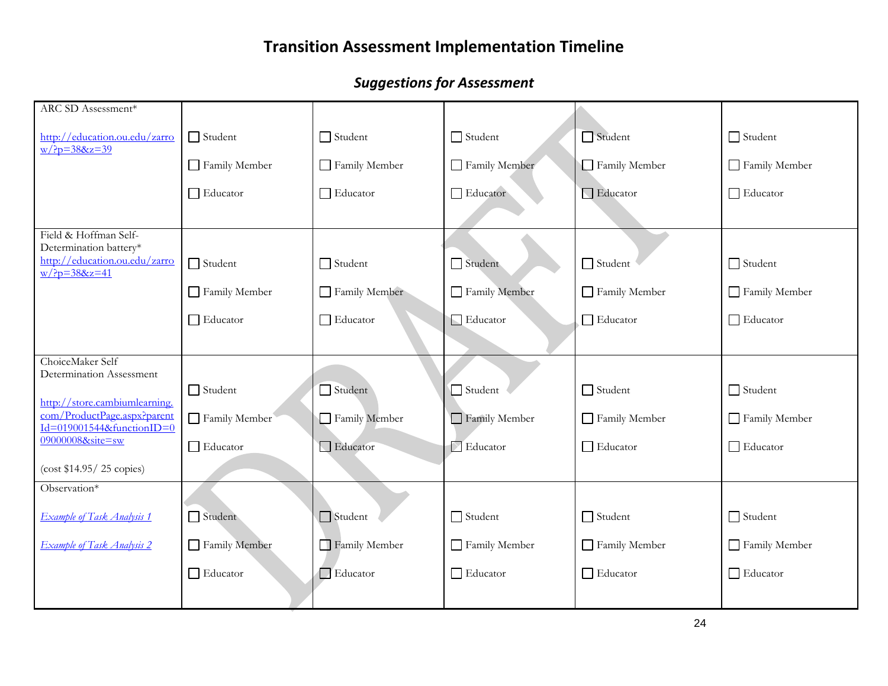| ARC SD Assessment*                                                                        |                 |                 |                           |                 |                 |
|-------------------------------------------------------------------------------------------|-----------------|-----------------|---------------------------|-----------------|-----------------|
| http://education.ou.edu/zarro<br>$W/?p = 388z = 39$                                       | $\Box$ Student  | $\Box$ Student  | $\Box$ Student            | Student         | $\Box$ Student  |
|                                                                                           | Family Member   | Family Member   | Family Member             | Family Member   | Family Member   |
|                                                                                           | $\Box$ Educator | $\Box$ Educator | $\Box$ Educator           | Educator        | □ Educator      |
|                                                                                           |                 |                 |                           |                 |                 |
| Field & Hoffman Self-<br>Determination battery*                                           |                 |                 |                           |                 |                 |
| http://education.ou.edu/zarro<br>$w/?p = 388z = 41$                                       | $\Box$ Student  | $\Box$ Student  | $\Box$ Student            | $\Box$ Student  | $\Box$ Student  |
|                                                                                           | Family Member   | Family Member   | Family Member             | Family Member   | Family Member   |
|                                                                                           | Educator        | $\Box$ Educator | Educator                  | $\Box$ Educator | $\Box$ Educator |
|                                                                                           |                 |                 |                           |                 |                 |
| ChoiceMaker Self<br>Determination Assessment                                              |                 |                 |                           |                 |                 |
|                                                                                           | $\Box$ Student  | $\Box$ Student  | $\Box$ Student            | $\Box$ Student  | $\Box$ Student  |
| http://store.cambiumlearning.<br>com/ProductPage.aspx?parent<br>Id=019001544&functionID=0 | Family Member   | Family Member   | Family Member             | Family Member   | Family Member   |
| 09000008&site=sw                                                                          | $\Box$ Educator | Educator        | $\triangleright$ Educator | □ Educator      | $\Box$ Educator |
| (cost \$14.95 / 25 copies)                                                                |                 |                 |                           |                 |                 |
| Observation*                                                                              |                 |                 |                           |                 |                 |
| <b>Example of Task Analysis 1</b>                                                         | $\Box$ Student  | $\Box$ Student  | $\Box$ Student            | $\Box$ Student  | $\Box$ Student  |
| <b>Example of Task Analysis 2</b>                                                         | Family Member   | Family Member   | Family Member             | Family Member   | Family Member   |
|                                                                                           | Educator        | Educator        | □ Educator                | $\Box$ Educator | Educator        |
|                                                                                           |                 |                 |                           |                 |                 |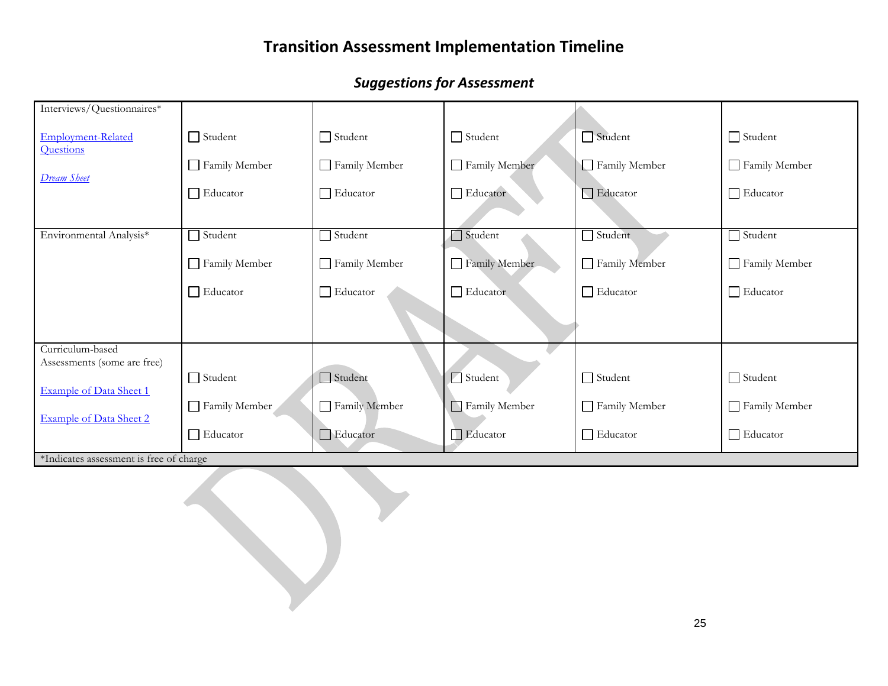| Interviews/Questionnaires*              |                 |                 |                |                 |                 |
|-----------------------------------------|-----------------|-----------------|----------------|-----------------|-----------------|
| <b>Employment-Related</b><br>Questions  | $\Box$ Student  | $\Box$ Student  | $\Box$ Student | $\Box$ Student  | $\Box$ Student  |
| <b>Dream Sheet</b>                      | Family Member   | Family Member   | Family Member  | Family Member   | Family Member   |
|                                         | $\Box$ Educator | $\Box$ Educator | Educator       | $\Box$ Educator | $\Box$ Educator |
|                                         |                 |                 |                |                 |                 |
| Environmental Analysis*                 | Student         | Student         | Student        | Student         | Student         |
|                                         | Family Member   | Family Member   | Family Member  | Family Member   | Family Member   |
|                                         | $\Box$ Educator | $\Box$ Educator | Educator       | $\Box$ Educator | $\Box$ Educator |
|                                         |                 |                 |                |                 |                 |
| Curriculum-based                        |                 |                 |                |                 |                 |
| Assessments (some are free)             | $\Box$ Student  | $\Box$ Student  | Student        | $\Box$ Student  | $\Box$ Student  |
| Example of Data Sheet 1                 | Family Member   | Family Member   | Family Member  | Family Member   | Family Member   |
| <b>Example of Data Sheet 2</b>          | $\Box$ Educator | Educator        | Educator       | $\Box$ Educator | $\Box$ Educator |
| *Indicates assessment is free of charge |                 |                 |                |                 |                 |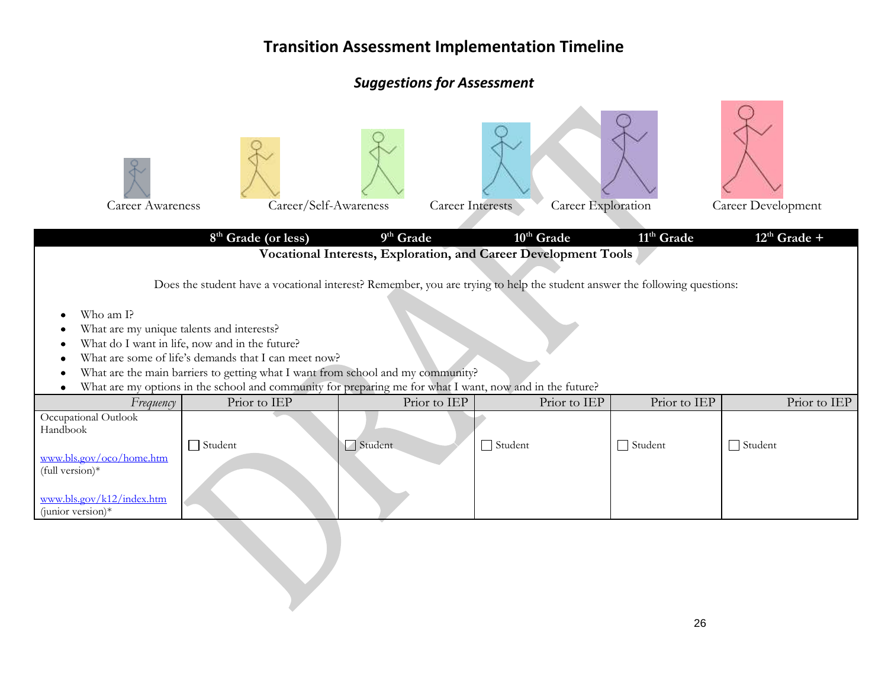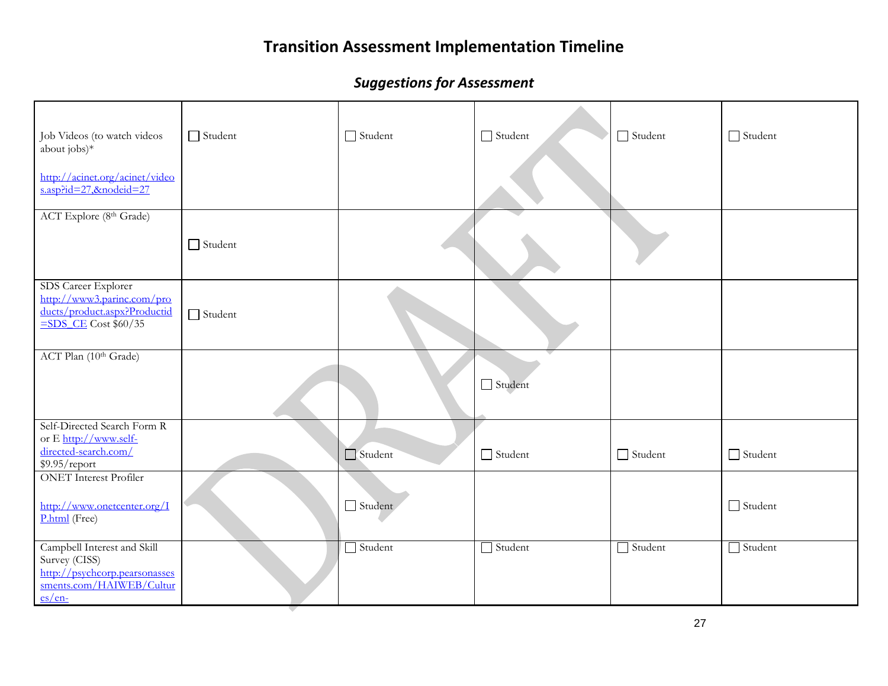| Job Videos (to watch videos<br>about jobs)*<br>http://acinet.org/acinet/video<br>s.asp?id=27,&nodeid=27                                                                      | $\Box$ Student | $\Box$ Student | $\Box$ Student | $\Box$ Student | $\Box$ Student |
|------------------------------------------------------------------------------------------------------------------------------------------------------------------------------|----------------|----------------|----------------|----------------|----------------|
| ACT Explore (8th Grade)                                                                                                                                                      | $\Box$ Student |                |                |                |                |
| SDS Career Explorer<br>http://www3.parinc.com/pro<br>ducts/product.aspx?Productid<br>$\frac{\text{SDS} \cdot \text{CE}}{\text{CDS} \cdot \text{CE}} \cdot \frac{1}{960}{35}$ | $\Box$ Student |                |                |                |                |
| ACT Plan (10th Grade)                                                                                                                                                        |                |                | $\Box$ Student |                |                |
| Self-Directed Search Form R<br>or E http://www.self-<br>directed-search.com/<br>\$9.95/report                                                                                |                | $\Box$ Student | $\Box$ Student | $\Box$ Student | $\Box$ Student |
| <b>ONET</b> Interest Profiler<br>http://www.onetcenter.org/I<br>P.html (Free)                                                                                                |                | Student        |                |                | $\Box$ Student |
| Campbell Interest and Skill<br>Survey (CISS)<br>http://psychcorp.pearsonasses<br>sments.com/HAIWEB/Cultur<br>$es/en-$                                                        |                | $\Box$ Student | $\Box$ Student | $\Box$ Student | $\Box$ Student |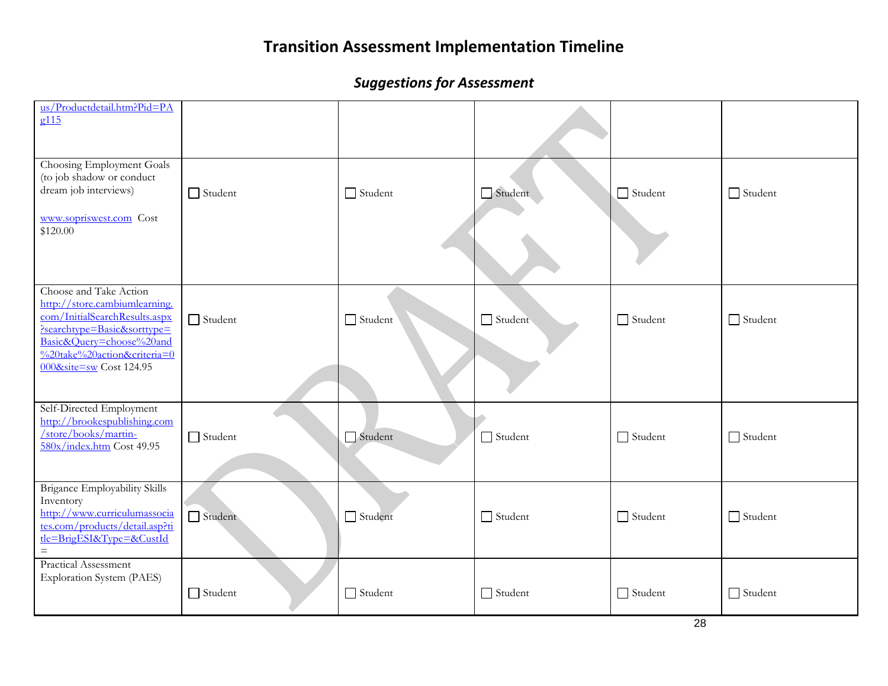| us/Productdetail.htm?Pid=PA<br>g115                                                                                                                                                                           |                |                |                |                |                |
|---------------------------------------------------------------------------------------------------------------------------------------------------------------------------------------------------------------|----------------|----------------|----------------|----------------|----------------|
| Choosing Employment Goals<br>(to job shadow or conduct<br>dream job interviews)<br>www.sopriswest.com Cost<br>\$120.00                                                                                        | $\Box$ Student | $\Box$ Student | Student        | $\Box$ Student | $\Box$ Student |
| Choose and Take Action<br>http://store.cambiumlearning.<br>com/InitialSearchResults.aspx<br>Psearchtype=Basic&sorttype=<br>Basic&Query=choose%20and<br>%20take%20action&criteria=0<br>000&site=sw Cost 124.95 | $\Box$ Student | $\Box$ Student | Student        | $\Box$ Student | $\Box$ Student |
| Self-Directed Employment<br>http://brookespublishing.com<br>/store/books/martin-<br>580x/index.htm Cost 49.95                                                                                                 | $\Box$ Student | Student        | $\Box$ Student | $\Box$ Student | $\Box$ Student |
| <b>Brigance Employability Skills</b><br>Inventory<br>http://www.curriculumassocia<br>tes.com/products/detail.asp?ti<br>tle=BrigESI&Type=&CustId<br>$=$                                                        | Student        | Student        | $\Box$ Student | $\Box$ Student | $\Box$ Student |
| Practical Assessment<br><b>Exploration System (PAES)</b>                                                                                                                                                      | $\Box$ Student | $\Box$ Student | $\Box$ Student | $\Box$ Student | $\Box$ Student |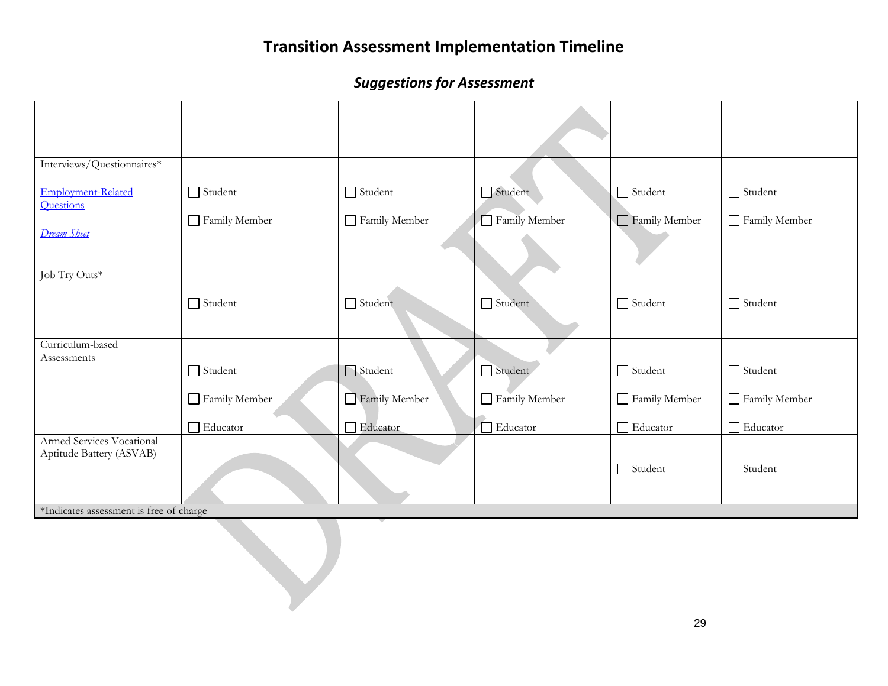| Interviews/Questionnaires*                            |                 |                |                |                |                 |
|-------------------------------------------------------|-----------------|----------------|----------------|----------------|-----------------|
| Employment-Related<br>Questions                       | $\Box$ Student  | $\Box$ Student | Student        | Student        | Student         |
| <b>Dream Sheet</b>                                    | Family Member   | Family Member  | Family Member  | Family Member  | Family Member   |
|                                                       |                 |                |                |                |                 |
| Job Try Outs*                                         |                 |                |                |                |                 |
|                                                       | $\Box$ Student  | Student        | $\Box$ Student | Student        | $\Box$ Student  |
| Curriculum-based                                      |                 |                |                |                |                 |
| Assessments                                           | $\Box$ Student  | Student        | Student        | $\Box$ Student | $\Box$ Student  |
|                                                       | Family Member   | Family Member  | Family Member  | Family Member  | Family Member   |
|                                                       | $\Box$ Educator | Educator       | Educator       | Educator       | $\Box$ Educator |
| Armed Services Vocational<br>Aptitude Battery (ASVAB) |                 |                |                |                |                 |
|                                                       |                 |                |                | Student        | $\Box$ Student  |
| *Indicates assessment is free of charge               |                 |                |                |                |                 |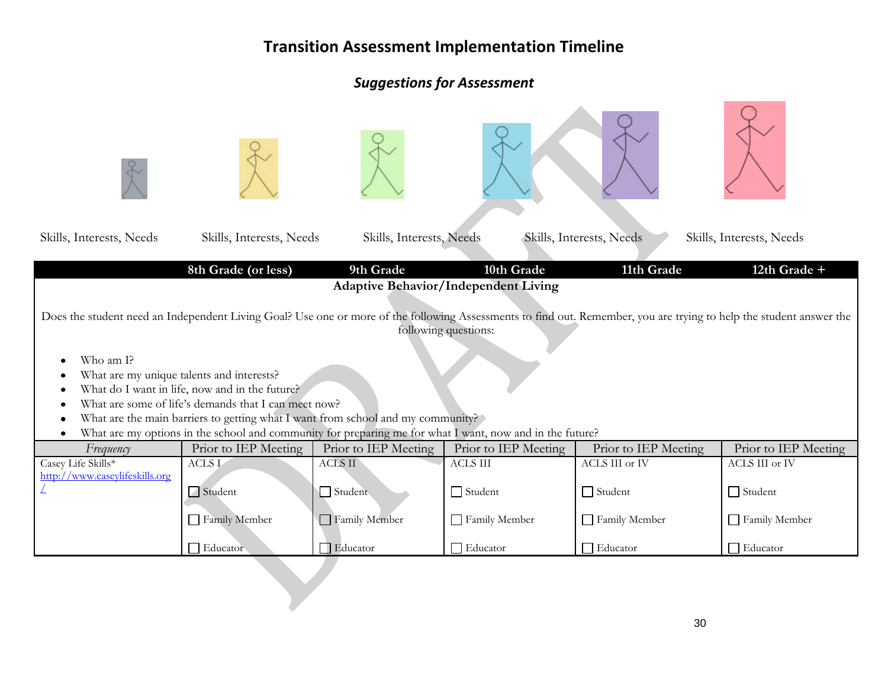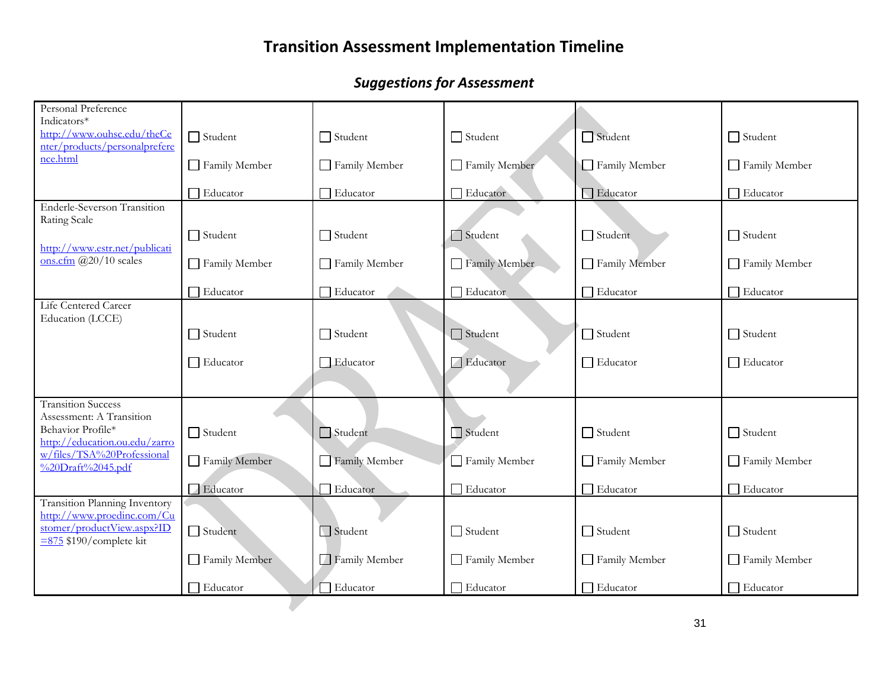| Personal Preference<br>Indicators*                                 |                 |                 |                 |                   |                 |
|--------------------------------------------------------------------|-----------------|-----------------|-----------------|-------------------|-----------------|
| http://www.ouhsc.edu/theCe<br>nter/products/personalprefere        | $\Box$ Student  | $\Box$ Student  | $\Box$ Student  | Student           | $\Box$ Student  |
| nce.html                                                           | Family Member   | Family Member   | Family Member   | Family Member     | Family Member   |
|                                                                    | Educator        | $\Box$ Educator | Educator        | <b>G</b> Educator | Educator        |
| <b>Enderle-Severson Transition</b><br>Rating Scale                 |                 |                 |                 |                   |                 |
| http://www.estr.net/publicati                                      | $\Box$ Student  | $\Box$ Student  | $\Box$ Student  | Student           | $\Box$ Student  |
| ons.cfm $\frac{a}{20}{10}$ scales                                  | Family Member   | Family Member   | Family Member   | Family Member     | Family Member   |
|                                                                    | $\Box$ Educator | $\Box$ Educator | □ Educator      | $\Box$ Educator   | $\Box$ Educator |
| Life Centered Career<br>Education (LCCE)                           |                 |                 |                 |                   |                 |
|                                                                    | $\Box$ Student  | $\Box$ Student  | $\Box$ Student  | $\Box$ Student    | $\Box$ Student  |
|                                                                    | $\Box$ Educator | Educator        | Educator        | $\Box$ Educator   | $\Box$ Educator |
| <b>Transition Success</b>                                          |                 |                 |                 |                   |                 |
| Assessment: A Transition                                           |                 |                 |                 |                   |                 |
| Behavior Profile*<br>http://education.ou.edu/zarro                 | $\Box$ Student  | Student         | Student         | $\Box$ Student    | $\Box$ Student  |
| w/files/TSA%20Professional<br>%20Draft%2045.pdf                    | Family Member   | Family Member   | Family Member   | Family Member     | Family Member   |
|                                                                    | Educator        | Educator        | $\Box$ Educator | Educator          | $\Box$ Educator |
| <b>Transition Planning Inventory</b><br>http://www.proedinc.com/Cu |                 |                 |                 |                   |                 |
| stomer/productView.aspx?ID<br>$\equiv$ 875 \$190/complete kit      | Student         | Student         | $\Box$ Student  | $\Box$ Student    | $\Box$ Student  |
|                                                                    | Family Member   | Family Member   | Family Member   | Family Member     | Family Member   |
|                                                                    | $\Box$ Educator | Educator        | $\Box$ Educator | $\Box$ Educator   | $\Box$ Educator |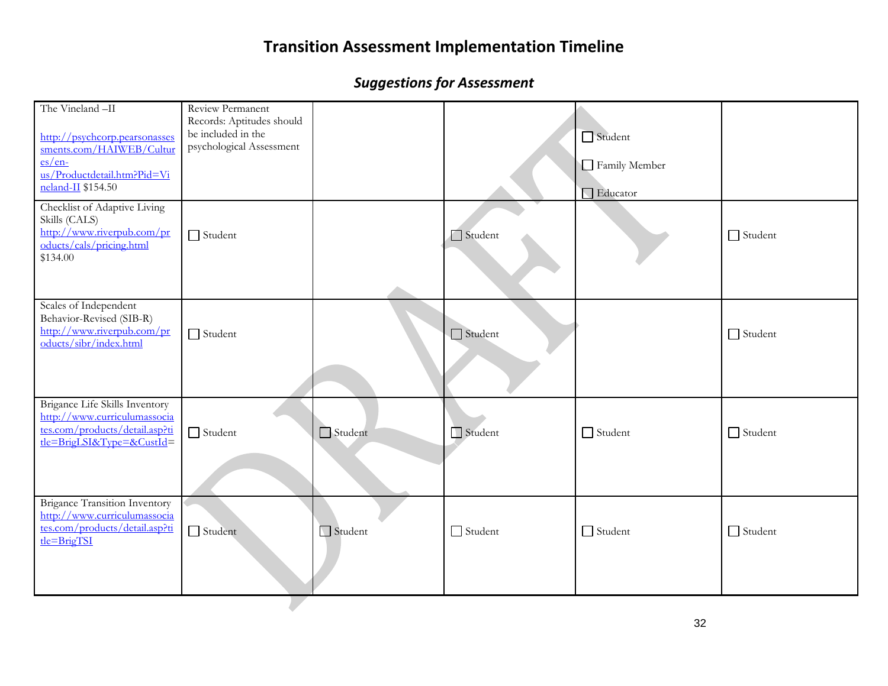| The Vineland -II<br>http://psychcorp.pearsonasses<br>sments.com/HAIWEB/Cultur<br>$es/en$ -<br>us/Productdetail.htm?Pid=Vi<br>neland-II \$154.50 | Review Permanent<br>Records: Aptitudes should<br>be included in the<br>psychological Assessment |         |                | Student<br>Family Member<br>□ Educator |                |
|-------------------------------------------------------------------------------------------------------------------------------------------------|-------------------------------------------------------------------------------------------------|---------|----------------|----------------------------------------|----------------|
| Checklist of Adaptive Living<br>Skills (CALS)<br>http://www.riverpub.com/pr<br>oducts/cals/pricing.html<br>\$134.00                             | $\Box$ Student                                                                                  |         | Student        |                                        | $\Box$ Student |
| Scales of Independent<br>Behavior-Revised (SIB-R)<br>http://www.riverpub.com/pr<br>oducts/sibr/index.html                                       | $\Box$ Student                                                                                  |         | $\Box$ Student |                                        | $\Box$ Student |
| Brigance Life Skills Inventory<br>http://www.curriculumassocia<br>tes.com/products/detail.asp?ti<br>$t = BrigLSI&Type = &CustId =$              | $\Box$ Student                                                                                  | Student | Student        | $\Box$ Student                         | $\Box$ Student |
| <b>Brigance Transition Inventory</b><br>http://www.curriculumassocia<br>tes.com/products/detail.asp?ti<br>tle=BrigTSI                           | $\Box$ Student                                                                                  | Student | $\Box$ Student | $\Box$ Student                         | $\Box$ Student |